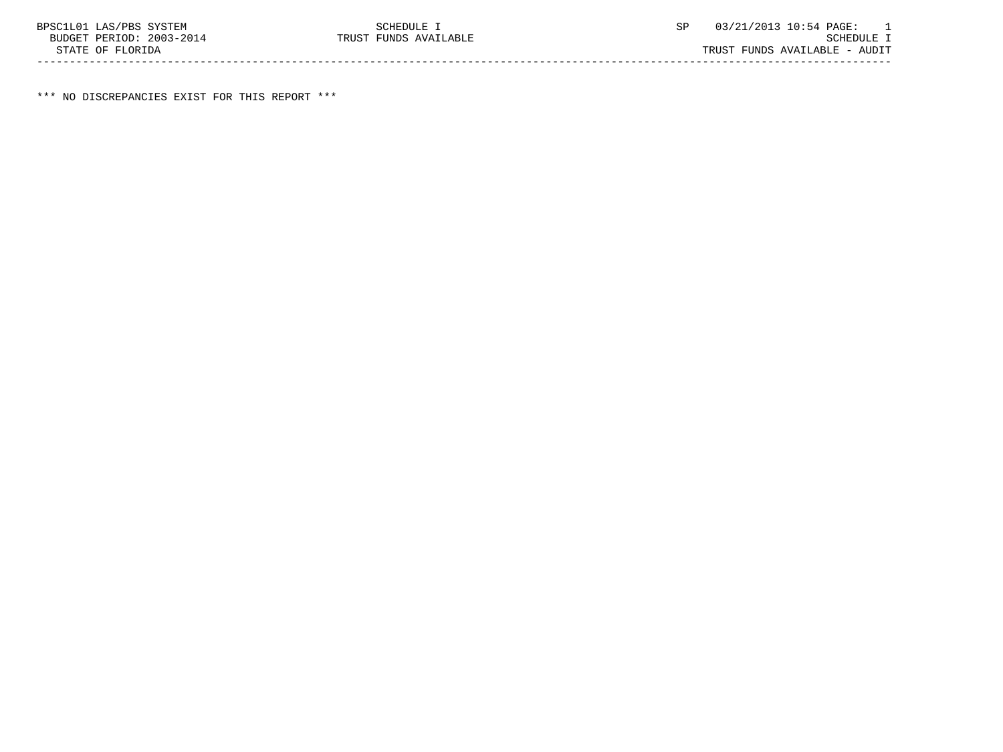\*\*\* NO DISCREPANCIES EXIST FOR THIS REPORT \*\*\*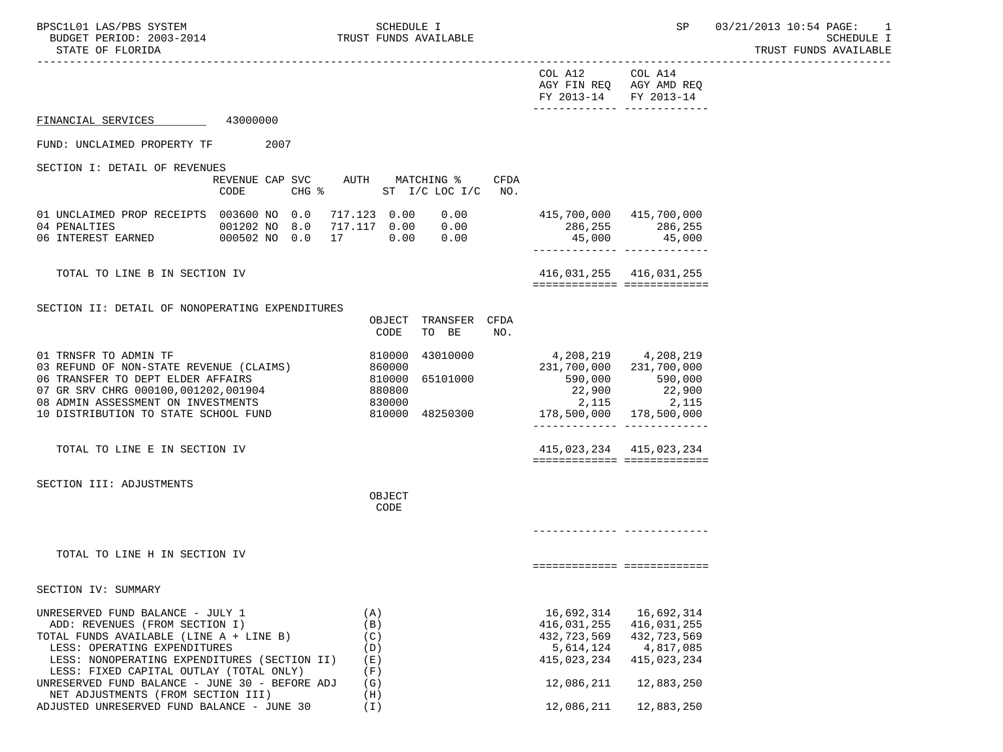TRUST FUNDS AVAILABLE

|                                                                                                                                                             |                                       | COL A12 COL A14<br>AGY FIN REQ AGY AMD REQ<br>FY 2013-14 FY 2013-14 | -------------- --------------                                                                     |
|-------------------------------------------------------------------------------------------------------------------------------------------------------------|---------------------------------------|---------------------------------------------------------------------|---------------------------------------------------------------------------------------------------|
| FINANCIAL SERVICES 43000000                                                                                                                                 |                                       |                                                                     |                                                                                                   |
| FUND: UNCLAIMED PROPERTY TF<br>2007                                                                                                                         |                                       |                                                                     |                                                                                                   |
| SECTION I: DETAIL OF REVENUES                                                                                                                               |                                       |                                                                     |                                                                                                   |
| REVENUE CAP SVC AUTH MATCHING %<br>CODE                                                                                                                     | CFDA<br>CHG % ST I/C LOC I/C NO.      |                                                                     |                                                                                                   |
| 01 UNCLAIMED PROP RECEIPTS 003600 NO 0.0 717.123 0.00 0.00<br>04 PENALTIES 001202 NO 8.0 717.117 0.00 0.00<br>06 INTEREST EARNED 000502 NO 0.0 17 0.00 0.00 |                                       |                                                                     |                                                                                                   |
|                                                                                                                                                             |                                       | 286,255 286,255                                                     | 45,000 45,000                                                                                     |
|                                                                                                                                                             |                                       |                                                                     | ________________________________                                                                  |
| TOTAL TO LINE B IN SECTION IV                                                                                                                               |                                       |                                                                     | 416,031,255 416,031,255                                                                           |
|                                                                                                                                                             |                                       |                                                                     | ===========================                                                                       |
| SECTION II: DETAIL OF NONOPERATING EXPENDITURES                                                                                                             |                                       |                                                                     |                                                                                                   |
|                                                                                                                                                             | OBJECT TRANSFER CFDA                  |                                                                     |                                                                                                   |
|                                                                                                                                                             | CODE<br>TO BE<br>NO.                  |                                                                     |                                                                                                   |
| 01 TRNSFR TO ADMIN TF                                                                                                                                       |                                       | 4,208,219 4,208,219                                                 |                                                                                                   |
| 03 REFUND OF NON-STATE REVENUE (CLAIMS)                                                                                                                     |                                       | 231,700,000 231,700,000                                             |                                                                                                   |
| 06 TRANSFER TO DEPT ELDER AFFAIRS                                                                                                                           |                                       |                                                                     |                                                                                                   |
| 07 GR SRV CHRG 000100,001202,001904<br>0000000<br>08 ADMIN ASSESSMENT ON INVESTMENTS                                                                        | $860000$<br>810000 65101000<br>880800 | 22,900<br>2,115                                                     | $\begin{array}{cccc} 590,000 & & & 590,000 \ 22,900 & & & 22,900 \ 2,115 & & & 2,115 \end{array}$ |
| 10 DISTRIBUTION TO STATE SCHOOL FUND                                                                                                                        | 810000 48250300                       |                                                                     |                                                                                                   |
|                                                                                                                                                             |                                       | ________________________________                                    |                                                                                                   |
| TOTAL TO LINE E IN SECTION IV                                                                                                                               |                                       | 415,023,234 415,023,234                                             |                                                                                                   |
|                                                                                                                                                             |                                       | ===========================                                         |                                                                                                   |
| SECTION III: ADJUSTMENTS                                                                                                                                    |                                       |                                                                     |                                                                                                   |
|                                                                                                                                                             | OBJECT                                |                                                                     |                                                                                                   |
|                                                                                                                                                             | CODE                                  |                                                                     |                                                                                                   |
|                                                                                                                                                             |                                       |                                                                     |                                                                                                   |
| TOTAL TO LINE H IN SECTION IV                                                                                                                               |                                       |                                                                     |                                                                                                   |
|                                                                                                                                                             |                                       |                                                                     | ============================                                                                      |
| SECTION IV: SUMMARY                                                                                                                                         |                                       |                                                                     |                                                                                                   |
| UNRESERVED FUND BALANCE - JULY 1                                                                                                                            | (A)                                   | 16,692,314                                                          | 16,692,314                                                                                        |
| ADD: REVENUES (FROM SECTION I)                                                                                                                              | (B)                                   | 416,031,255                                                         | 416,031,255                                                                                       |
| TOTAL FUNDS AVAILABLE (LINE A + LINE B)<br>LESS: OPERATING EXPENDITURES                                                                                     | (C)<br>(D)                            | 432,723,569<br>5,614,124                                            | 432,723,569<br>4,817,085                                                                          |
| LESS: NONOPERATING EXPENDITURES (SECTION II)                                                                                                                | (E)                                   | 415,023,234                                                         | 415,023,234                                                                                       |
| LESS: FIXED CAPITAL OUTLAY (TOTAL ONLY)                                                                                                                     | (F)                                   |                                                                     |                                                                                                   |
| UNRESERVED FUND BALANCE - JUNE 30 - BEFORE ADJ<br>NET ADJUSTMENTS (FROM SECTION III)                                                                        | (G)<br>(H)                            | 12,086,211                                                          | 12,883,250                                                                                        |
| ADJUSTED UNRESERVED FUND BALANCE - JUNE 30                                                                                                                  | (I)                                   | 12,086,211                                                          | 12,883,250                                                                                        |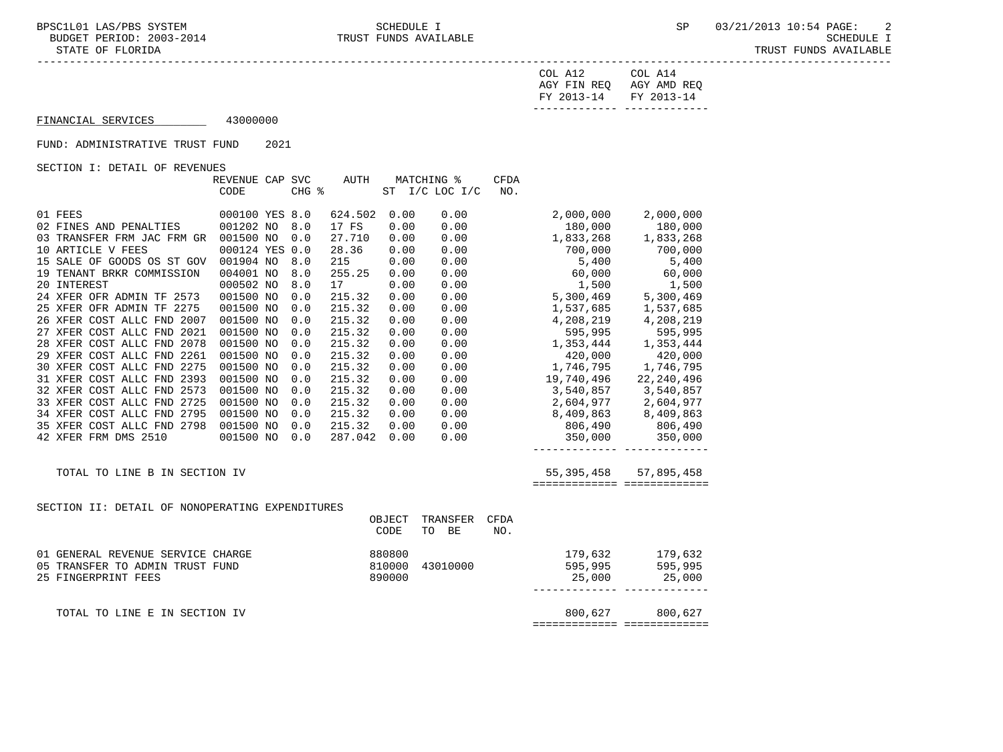STATE OF FLORIDA TRUST FUNDS AVAILABLE

| FY 2013-14 FY 2013-14   |         |
|-------------------------|---------|
| AGY FIN REO AGY AMD REO |         |
| COL A12                 | COL A14 |

# FINANCIAL SERVICES 43000000

#### FUND: ADMINISTRATIVE TRUST FUND 2021

SECTION I: DETAIL OF REVENUES

|                                                 | REVENUE CAP SVC |       | <b>AUTH</b> |        | MATCHING %     | <b>CFDA</b> |            |                           |
|-------------------------------------------------|-----------------|-------|-------------|--------|----------------|-------------|------------|---------------------------|
|                                                 | CODE            | CHG % |             |        | ST I/C LOC I/C | NO.         |            |                           |
|                                                 |                 |       |             |        |                |             |            |                           |
| 01 FEES                                         | 000100 YES 8.0  |       | 624.502     | 0.00   | 0.00           |             | 2,000,000  | 2,000,000                 |
| 02 FINES AND PENALTIES                          | 001202 NO       | 8.0   | 17 FS       | 0.00   | 0.00           |             | 180,000    | 180,000                   |
| 03 TRANSFER FRM JAC FRM GR                      | 001500 NO       | 0.0   | 27.710      | 0.00   | 0.00           |             | 1,833,268  | 1,833,268                 |
| 10 ARTICLE V FEES                               | 000124 YES 0.0  |       | 28.36       | 0.00   | 0.00           |             | 700,000    | 700,000                   |
| 15 SALE OF GOODS OS ST GOV                      | 001904 NO       | 8.0   | 215         | 0.00   | 0.00           |             | 5,400      | 5,400                     |
| 19 TENANT BRKR COMMISSION                       | 004001 NO       | 8.0   | 255.25      | 0.00   | 0.00           |             | 60,000     | 60,000                    |
| 20 INTEREST                                     | 000502 NO       | 8.0   | 17          | 0.00   | 0.00           |             | 1,500      | 1,500                     |
| 24 XFER OFR ADMIN TF 2573                       | 001500 NO       | 0.0   | 215.32      | 0.00   | 0.00           |             | 5,300,469  | 5,300,469                 |
| 25 XFER OFR ADMIN TF 2275                       | 001500 NO       | 0.0   | 215.32      | 0.00   | 0.00           |             | 1,537,685  | 1,537,685                 |
| 26 XFER COST ALLC FND 2007                      | 001500 NO       | 0.0   | 215.32      | 0.00   | 0.00           |             | 4,208,219  | 4,208,219                 |
| 27 XFER COST ALLC FND 2021                      | 001500 NO       | 0.0   | 215.32      | 0.00   | 0.00           |             | 595,995    | 595,995                   |
| 28 XFER COST ALLC FND 2078                      | 001500 NO       | 0.0   | 215.32      | 0.00   | 0.00           |             | 1,353,444  | 1,353,444                 |
| 29 XFER COST ALLC FND 2261                      | 001500 NO       | 0.0   | 215.32      | 0.00   | 0.00           |             | 420,000    | 420,000                   |
| 30 XFER COST ALLC FND 2275                      | 001500 NO       | 0.0   | 215.32      | 0.00   | 0.00           |             | 1,746,795  | 1,746,795                 |
| 31 XFER COST ALLC FND 2393                      | 001500 NO       | 0.0   | 215.32      | 0.00   | 0.00           |             | 19,740,496 | 22,240,496                |
| 32 XFER COST ALLC FND 2573                      | 001500 NO       | 0.0   | 215.32      | 0.00   | 0.00           |             | 3,540,857  | 3,540,857                 |
| 33 XFER COST ALLC FND 2725                      | 001500 NO       | 0.0   | 215.32      | 0.00   | 0.00           |             | 2,604,977  | 2,604,977                 |
| 34 XFER COST ALLC FND 2795                      | 001500 NO       | 0.0   | 215.32      | 0.00   | 0.00           |             | 8,409,863  | 8,409,863<br>806,490      |
| 35 XFER COST ALLC FND 2798                      | 001500 NO       | 0.0   | 215.32      | 0.00   | 0.00           |             | 806,490    |                           |
| 42 XFER FRM DMS 2510                            | 001500 NO       | 0.0   | 287.042     | 0.00   | 0.00           |             | 350,000    | 350,000                   |
|                                                 |                 |       |             |        |                |             |            |                           |
| TOTAL TO LINE B IN SECTION IV                   |                 |       |             |        |                |             |            | 55, 395, 458 57, 895, 458 |
|                                                 |                 |       |             |        |                |             |            |                           |
|                                                 |                 |       |             |        |                |             |            |                           |
| SECTION II: DETAIL OF NONOPERATING EXPENDITURES |                 |       |             |        |                |             |            |                           |
|                                                 |                 |       |             | OBJECT | TRANSFER       | <b>CFDA</b> |            |                           |
|                                                 |                 |       |             | CODE   | TO BE          | NO.         |            |                           |
| 01 GENERAL REVENUE SERVICE CHARGE               |                 |       |             | 880800 |                |             | 179,632    | 179,632                   |
| 05 TRANSFER TO ADMIN TRUST FUND                 |                 |       |             | 810000 | 43010000       |             | 595,995    | 595,995                   |
| 25 FINGERPRINT FEES                             |                 |       |             | 890000 |                |             | 25,000     | 25,000                    |
|                                                 |                 |       |             |        |                |             |            |                           |

TOTAL TO LINE E IN SECTION IV 800,627 800,627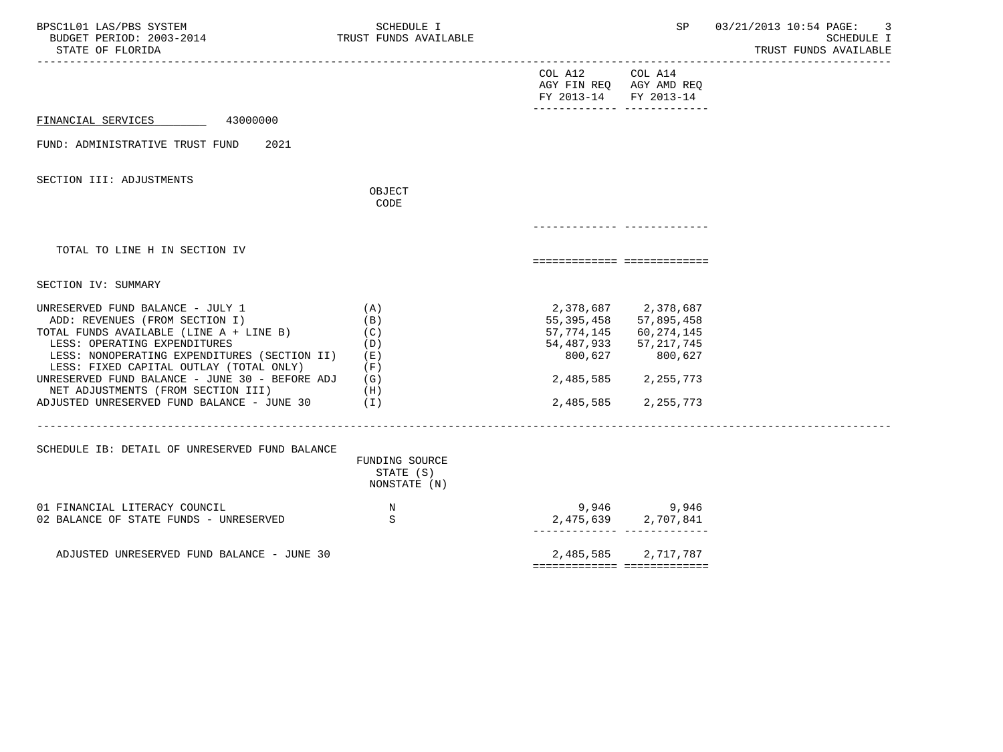| BPSC1L01 LAS/PBS SYSTEM<br>BUDGET PERIOD: 2003-2014<br>STATE OF FLORIDA                                                                                                                                                                                                                                                                                                        | SCHEDULE I<br>TRUST FUNDS AVAILABLE                                     |                                                                                   | SP                                                                                                                                                                  | 03/21/2013 10:54 PAGE:<br>3<br><b>SCHEDULE I</b><br>TRUST FUNDS AVAILABLE |
|--------------------------------------------------------------------------------------------------------------------------------------------------------------------------------------------------------------------------------------------------------------------------------------------------------------------------------------------------------------------------------|-------------------------------------------------------------------------|-----------------------------------------------------------------------------------|---------------------------------------------------------------------------------------------------------------------------------------------------------------------|---------------------------------------------------------------------------|
|                                                                                                                                                                                                                                                                                                                                                                                |                                                                         | COL A12<br>AGY FIN REQ AGY AMD REQ<br>FY 2013-14<br>-------------- -------------- | COL A14<br>FY 2013-14                                                                                                                                               |                                                                           |
| 43000000<br>FINANCIAL SERVICES                                                                                                                                                                                                                                                                                                                                                 |                                                                         |                                                                                   |                                                                                                                                                                     |                                                                           |
| FUND: ADMINISTRATIVE TRUST FUND<br>2021                                                                                                                                                                                                                                                                                                                                        |                                                                         |                                                                                   |                                                                                                                                                                     |                                                                           |
| SECTION III: ADJUSTMENTS                                                                                                                                                                                                                                                                                                                                                       | OBJECT<br>CODE                                                          |                                                                                   |                                                                                                                                                                     |                                                                           |
| TOTAL TO LINE H IN SECTION IV                                                                                                                                                                                                                                                                                                                                                  |                                                                         | ===========================                                                       |                                                                                                                                                                     |                                                                           |
| SECTION IV: SUMMARY                                                                                                                                                                                                                                                                                                                                                            |                                                                         |                                                                                   |                                                                                                                                                                     |                                                                           |
| UNRESERVED FUND BALANCE - JULY 1<br>ADD: REVENUES (FROM SECTION I)<br>TOTAL FUNDS AVAILABLE (LINE A + LINE B)<br>LESS: OPERATING EXPENDITURES<br>LESS: NONOPERATING EXPENDITURES (SECTION II)<br>LESS: FIXED CAPITAL OUTLAY (TOTAL ONLY)<br>UNRESERVED FUND BALANCE - JUNE 30 - BEFORE ADJ<br>NET ADJUSTMENTS (FROM SECTION III)<br>ADJUSTED UNRESERVED FUND BALANCE - JUNE 30 | (A)<br>(B)<br>(C)<br>(D)<br>( E )<br>(F)<br>(G)<br>(H)<br>$(\lrcorner)$ | 800,627                                                                           | 2,378,687 2,378,687<br>55, 395, 458 57, 895, 458<br>57, 774, 145 60, 274, 145<br>54, 487, 933 57, 217, 745<br>800,627<br>2,485,585 2,255,773<br>2,485,585 2,255,773 |                                                                           |
| SCHEDULE IB: DETAIL OF UNRESERVED FUND BALANCE                                                                                                                                                                                                                                                                                                                                 | FUNDING SOURCE<br>STATE (S)<br>NONSTATE (N)                             |                                                                                   |                                                                                                                                                                     |                                                                           |
| 01 FINANCIAL LITERACY COUNCIL<br>02 BALANCE OF STATE FUNDS - UNRESERVED                                                                                                                                                                                                                                                                                                        | $_{\rm N}$<br>S                                                         |                                                                                   | 9,946 9,946<br>2,475,639 2,707,841                                                                                                                                  |                                                                           |
| ADJUSTED UNRESERVED FUND BALANCE - JUNE 30                                                                                                                                                                                                                                                                                                                                     |                                                                         | ============================                                                      | 2,485,585 2,717,787                                                                                                                                                 |                                                                           |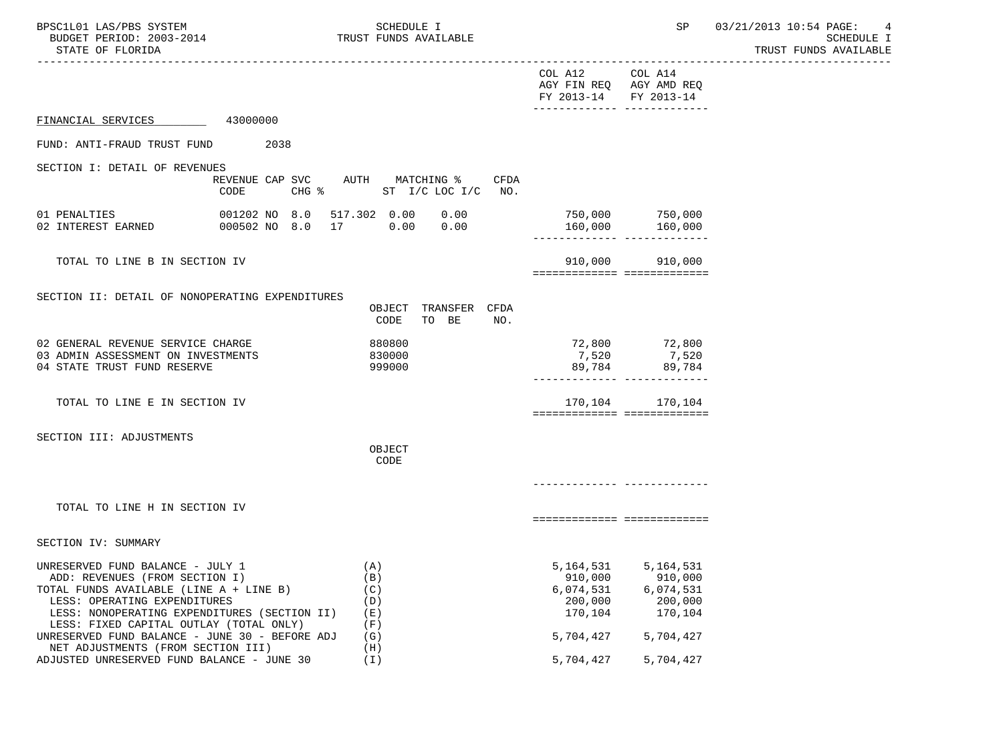| BPSC1L01 LAS/PBS SYSTEM<br>BUDGET PERIOD: 2003-2014<br>STATE OF FLORIDA                                                                                                                                                                                                                    |                                         | SCHEDULE I<br>TRUST FUNDS AVAILABLE           |                                                                      | SP                                                                   | 03/21/2013 10:54 PAGE:<br>4<br>SCHEDULE I<br>TRUST FUNDS AVAILABLE |
|--------------------------------------------------------------------------------------------------------------------------------------------------------------------------------------------------------------------------------------------------------------------------------------------|-----------------------------------------|-----------------------------------------------|----------------------------------------------------------------------|----------------------------------------------------------------------|--------------------------------------------------------------------|
|                                                                                                                                                                                                                                                                                            |                                         |                                               | COL A12<br>AGY FIN REQ AGY AMD REQ<br>FY 2013-14                     | COL A14<br>FY 2013-14                                                |                                                                    |
| FINANCIAL SERVICES 43000000                                                                                                                                                                                                                                                                |                                         |                                               |                                                                      |                                                                      |                                                                    |
| FUND: ANTI-FRAUD TRUST FUND                                                                                                                                                                                                                                                                | 2038                                    |                                               |                                                                      |                                                                      |                                                                    |
| SECTION I: DETAIL OF REVENUES                                                                                                                                                                                                                                                              | REVENUE CAP SVC AUTH MATCHING %<br>CODE | CFDA<br>CHG % ST I/C LOC I/C NO.              |                                                                      |                                                                      |                                                                    |
| 01 PENALTIES                                                                                                                                                                                                                                                                               | 001202 NO 8.0 517.302 0.00 0.00         |                                               | ______________ ___________                                           | 750,000 750,000<br>$160,000$ $160,000$                               |                                                                    |
| TOTAL TO LINE B IN SECTION IV                                                                                                                                                                                                                                                              |                                         |                                               | ============================                                         | 910,000 910,000                                                      |                                                                    |
| SECTION II: DETAIL OF NONOPERATING EXPENDITURES                                                                                                                                                                                                                                            |                                         | OBJECT TRANSFER CFDA<br>CODE<br>TO BE<br>NO.  |                                                                      |                                                                      |                                                                    |
| 02 GENERAL REVENUE SERVICE CHARGE<br>03 ADMIN ASSESSMENT ON INVESTMENTS<br>04 STATE TRUST FUND RESERVE                                                                                                                                                                                     |                                         | 880800<br>830000<br>999000                    |                                                                      | 72,800 72,800<br>7,520 7,520<br>89,784 89,784                        |                                                                    |
| TOTAL TO LINE E IN SECTION IV                                                                                                                                                                                                                                                              |                                         |                                               | ===========================                                          | 170, 104 170, 104                                                    |                                                                    |
| SECTION III: ADJUSTMENTS                                                                                                                                                                                                                                                                   |                                         | OBJECT<br>CODE                                |                                                                      |                                                                      |                                                                    |
| TOTAL TO LINE H IN SECTION IV                                                                                                                                                                                                                                                              |                                         |                                               | ===========================                                          |                                                                      |                                                                    |
| SECTION IV: SUMMARY                                                                                                                                                                                                                                                                        |                                         |                                               |                                                                      |                                                                      |                                                                    |
| UNRESERVED FUND BALANCE - JULY 1<br>ADD: REVENUES (FROM SECTION I)<br>TOTAL FUNDS AVAILABLE (LINE A + LINE B)<br>LESS: OPERATING EXPENDITURES<br>LESS: NONOPERATING EXPENDITURES (SECTION II)<br>LESS: FIXED CAPITAL OUTLAY (TOTAL ONLY)<br>UNRESERVED FUND BALANCE - JUNE 30 - BEFORE ADJ |                                         | (A)<br>(B)<br>(C)<br>(D)<br>(E)<br>(F)<br>(G) | 5,164,531<br>910,000<br>6,074,531<br>200,000<br>170,104<br>5,704,427 | 5,164,531<br>910,000<br>6,074,531<br>200,000<br>170,104<br>5,704,427 |                                                                    |
| NET ADJUSTMENTS (FROM SECTION III)<br>ADJUSTED UNRESERVED FUND BALANCE - JUNE 30                                                                                                                                                                                                           |                                         | (H)<br>$(\lceil \cdot \rceil)$                | 5,704,427                                                            | 5,704,427                                                            |                                                                    |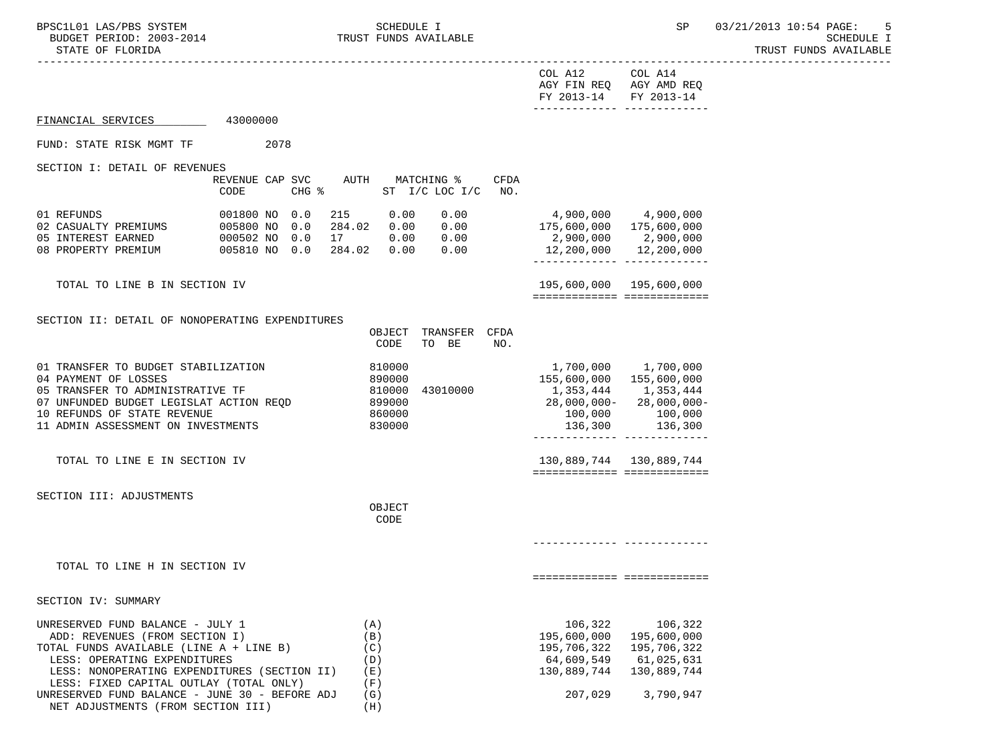NET ADJUSTMENTS (FROM SECTION III) (H)

TRUST FUNDS AVAILABLE

|                                                                                                                                                                                                                                                                                                                                                                 |                                                                      | COL A12<br>FY 2013-14 FY 2013-14                                                                | COL A14<br>AGY FIN REQ AGY AMD REQ<br>________________________________ |  |
|-----------------------------------------------------------------------------------------------------------------------------------------------------------------------------------------------------------------------------------------------------------------------------------------------------------------------------------------------------------------|----------------------------------------------------------------------|-------------------------------------------------------------------------------------------------|------------------------------------------------------------------------|--|
| 43000000<br>FINANCIAL SERVICES                                                                                                                                                                                                                                                                                                                                  |                                                                      |                                                                                                 |                                                                        |  |
| FUND: STATE RISK MGMT TF<br>2078                                                                                                                                                                                                                                                                                                                                |                                                                      |                                                                                                 |                                                                        |  |
| SECTION I: DETAIL OF REVENUES<br>REVENUE CAP SVC<br>CODE<br>$CHG$ $\frac{1}{6}$                                                                                                                                                                                                                                                                                 | AUTH MATCHING %<br>CFDA<br>ST $I/C$ LOC $I/C$<br>NO.                 |                                                                                                 |                                                                        |  |
| $\begin{array}{cccccc} 01 & \text{REFUNDS} & & & & 001800 & \text{NO} & 0.0 & 215 & 0.00 & 0.00 \\ 02 & \text{CASUALTY PREMIUMS} & & & & 005800 & \text{NO} & 0.0 & 284.02 & 0.00 & 0.00 \\ 05 & \text{INTEREST EARNED} & & & & 000502 & \text{NO} & 0.0 & 17 & 0.00 & 0.00 \\ 08 & \text{PROPERTY PREMIUM} & & & & 005810 & \text{NO} & 0.0 & 284.02 & 0.00 &$ | 0.00                                                                 | 4,900,000 4,900,000<br>175,600,000  175,600,000<br>2,900,000 2,900,000<br>12,200,000 12,200,000 |                                                                        |  |
| TOTAL TO LINE B IN SECTION IV                                                                                                                                                                                                                                                                                                                                   |                                                                      | 195,600,000 195,600,000                                                                         | ============================                                           |  |
| SECTION II: DETAIL OF NONOPERATING EXPENDITURES                                                                                                                                                                                                                                                                                                                 | TRANSFER CFDA<br>OBJECT<br>CODE<br>TO BE<br>NO.                      |                                                                                                 |                                                                        |  |
| 01 TRANSFER TO BUDGET STABILIZATION<br>04 PAYMENT OF LOSSES<br>05 TRANSFER TO ADMINISTRATIVE TF<br>07 UNFUNDED BUDGET LEGISLAT ACTION REQD<br>10 REFUNDS OF STATE REVENUE<br>11 ADMIN ASSESSMENT ON INVESTMENTS                                                                                                                                                 | 810000<br>890000<br>810000<br>43010000<br>899000<br>860000<br>830000 | 155,600,000 155,600,000<br>1,353,444 1,353,444<br>28,000,000-28,000,000-<br>100,000             | 1,700,000 1,700,000<br>100,000 100,000<br>136,300 136,300              |  |
| TOTAL TO LINE E IN SECTION IV                                                                                                                                                                                                                                                                                                                                   |                                                                      | 130,889,744 130,889,744                                                                         | ===========================                                            |  |
| SECTION III: ADJUSTMENTS                                                                                                                                                                                                                                                                                                                                        | OBJECT<br>CODE                                                       |                                                                                                 |                                                                        |  |
| TOTAL TO LINE H IN SECTION IV                                                                                                                                                                                                                                                                                                                                   |                                                                      |                                                                                                 | ===========================                                            |  |
| SECTION IV: SUMMARY                                                                                                                                                                                                                                                                                                                                             |                                                                      |                                                                                                 |                                                                        |  |
| UNRESERVED FUND BALANCE - JULY 1<br>ADD: REVENUES (FROM SECTION I)<br>TOTAL FUNDS AVAILABLE (LINE A + LINE B)<br>LESS: OPERATING EXPENDITURES<br>LESS: NONOPERATING EXPENDITURES (SECTION II)<br>LESS: FIXED CAPITAL OUTLAY (TOTAL ONLY)                                                                                                                        | (A)<br>(B)<br>(C)<br>(D)<br>(E)<br>(F)                               | 106,322<br>195,600,000<br>195,706,322<br>64,609,549<br>130,889,744                              | 106,322<br>195,600,000<br>195,706,322<br>61,025,631<br>130,889,744     |  |
| UNRESERVED FUND BALANCE - JUNE 30 - BEFORE ADJ                                                                                                                                                                                                                                                                                                                  | (G)                                                                  | 207,029                                                                                         | 3,790,947                                                              |  |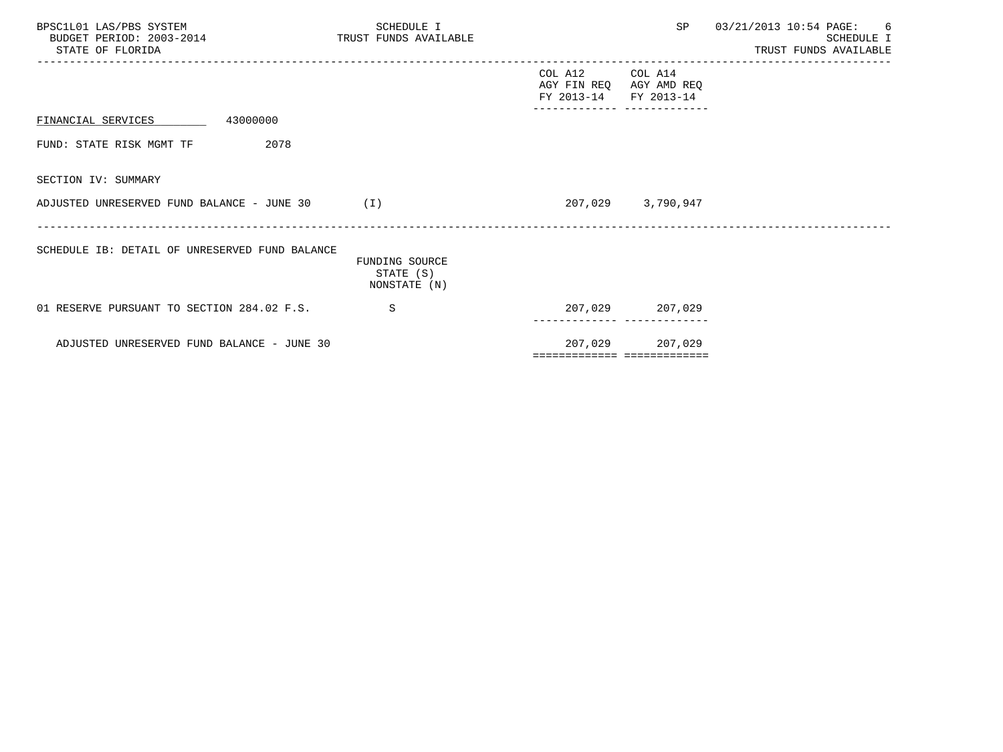| BPSC1L01 LAS/PBS SYSTEM<br>BUDGET PERIOD: 2003-2014 TRUST FUNDS AVAILABLE<br>STATE OF FLORIDA |      | SCHEDULE I                                  |                                                                     | ---------------   | SP 03/21/2013 10:54 PAGE: 6<br>SCHEDULE I<br>TRUST FUNDS AVAILABLE |
|-----------------------------------------------------------------------------------------------|------|---------------------------------------------|---------------------------------------------------------------------|-------------------|--------------------------------------------------------------------|
|                                                                                               |      |                                             | COL A12 COL A14<br>AGY FIN REQ AGY AMD REQ<br>FY 2013-14 FY 2013-14 |                   |                                                                    |
| 43000000<br>FINANCIAL SERVICES                                                                |      |                                             |                                                                     |                   |                                                                    |
| FUND: STATE RISK MGMT TF                                                                      | 2078 |                                             |                                                                     |                   |                                                                    |
| SECTION IV: SUMMARY                                                                           |      |                                             |                                                                     |                   |                                                                    |
| ADJUSTED UNRESERVED FUND BALANCE - JUNE $30$ (I)                                              |      |                                             |                                                                     | 207,029 3,790,947 |                                                                    |
| SCHEDULE IB: DETAIL OF UNRESERVED FUND BALANCE                                                |      | FUNDING SOURCE<br>STATE (S)<br>NONSTATE (N) |                                                                     |                   |                                                                    |
| 01 RESERVE PURSUANT TO SECTION 284.02 F.S.                                                    |      | S                                           |                                                                     | 207,029 207,029   |                                                                    |
| ADJUSTED UNRESERVED FUND BALANCE - JUNE 30                                                    |      |                                             | ===========================                                         | 207,029 207,029   |                                                                    |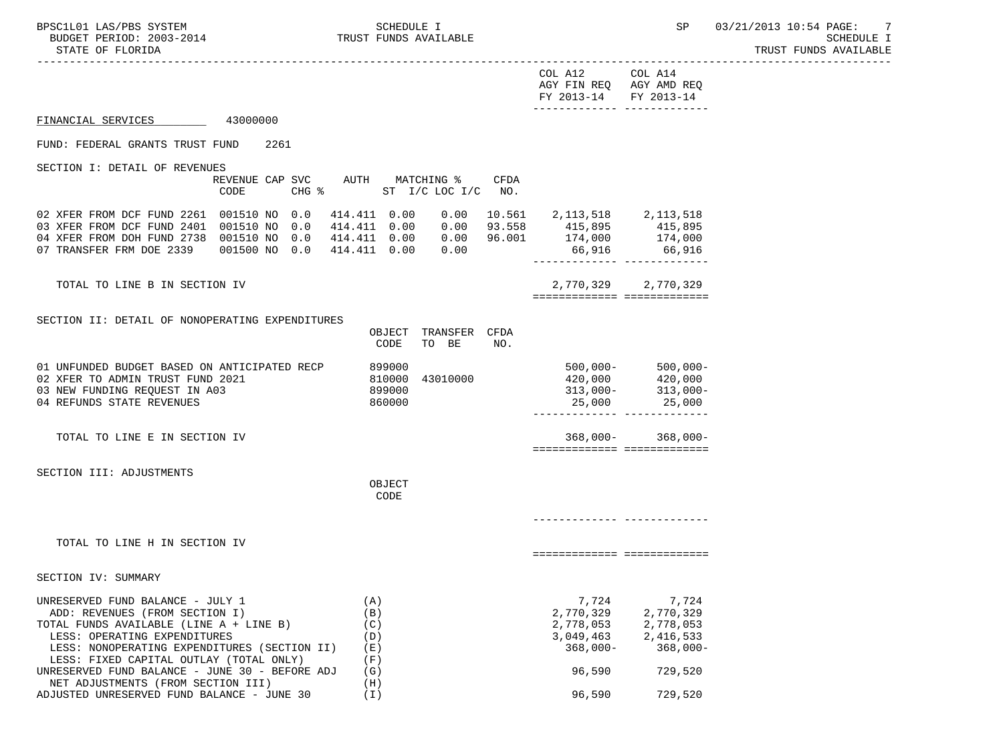-----------------------------------------------------------------------------------------------------------------------------------

| COL A12               | COL A14                 |
|-----------------------|-------------------------|
|                       | AGY FIN REQ AGY AMD REQ |
| FY 2013-14 FY 2013-14 |                         |
|                       |                         |

## FINANCIAL SERVICES 43000000

#### FUND: FEDERAL GRANTS TRUST FUND 2261

SECTION I: DETAIL OF REVENUES

|                                                                                                                                  | REVENUE CAP SVC<br><b>CODE</b>          | $CHG$ $\frac{1}{6}$ | AUTH                                                         | MATCHING %<br>ST I/C LOC I/C |                              | CFDA<br>NO.                |                                           |                                           |
|----------------------------------------------------------------------------------------------------------------------------------|-----------------------------------------|---------------------|--------------------------------------------------------------|------------------------------|------------------------------|----------------------------|-------------------------------------------|-------------------------------------------|
| 02 XFER FROM DCF FUND 2261 001510 NO 0.0<br>03 XFER FROM DCF FUND 2401<br>04 XFER FROM DOH FUND 2738<br>07 TRANSFER FRM DOE 2339 | 001510 NO 0.0<br>001510 NO<br>001500 NO | 0.0<br>0.0          | 414.411 0.00<br>414.411 0.00<br>414.411 0.00<br>414.411 0.00 |                              | 0.00<br>0.00<br>0.00<br>0.00 | 10.561<br>93.558<br>96.001 | 2,113,518<br>415,895<br>174,000<br>66,916 | 2,113,518<br>415,895<br>174,000<br>66,916 |

 TOTAL TO LINE B IN SECTION IV 2,770,329 2,770,329 ============= =============

### SECTION II: DETAIL OF NONOPERATING EXPENDITURES

NET ADJUSTMENTS (FROM SECTION III) (H)

|                                                                                                                                                                                                                                          | OBJECT<br>CODE                       | TRANSFER<br>TO<br>BE | <b>CFDA</b><br>NO. |                              |                                                                                                     |
|------------------------------------------------------------------------------------------------------------------------------------------------------------------------------------------------------------------------------------------|--------------------------------------|----------------------|--------------------|------------------------------|-----------------------------------------------------------------------------------------------------|
| 01 UNFUNDED BUDGET BASED ON ANTICIPATED RECP<br>02 XFER TO ADMIN TRUST FUND 2021<br>03 NEW FUNDING REOUEST IN A03<br>04 REFUNDS STATE REVENUES                                                                                           | 899000<br>810000<br>899000<br>860000 | 43010000             |                    | $500,000 -$<br>420,000       | $500,000 -$<br>420,000<br>$313,000 - 313,000 -$<br>25,000 25,000                                    |
| TOTAL TO LINE E IN SECTION IV                                                                                                                                                                                                            |                                      |                      |                    |                              | $368,000 - 368,000 -$                                                                               |
| SECTION III: ADJUSTMENTS                                                                                                                                                                                                                 | OBJECT<br>CODE                       |                      |                    |                              |                                                                                                     |
|                                                                                                                                                                                                                                          |                                      |                      |                    |                              |                                                                                                     |
| TOTAL TO LINE H IN SECTION IV                                                                                                                                                                                                            |                                      |                      |                    | ============================ |                                                                                                     |
| SECTION IV: SUMMARY                                                                                                                                                                                                                      |                                      |                      |                    |                              |                                                                                                     |
| UNRESERVED FUND BALANCE - JULY 1<br>ADD: REVENUES (FROM SECTION I)<br>TOTAL FUNDS AVAILABLE (LINE A + LINE B)<br>LESS: OPERATING EXPENDITURES<br>LESS: NONOPERATING EXPENDITURES (SECTION II)<br>LESS: FIXED CAPITAL OUTLAY (TOTAL ONLY) | (A)<br>(B)<br>(C)<br>(D)<br>( E )    |                      |                    | 7,724                        | 7,724<br>2,770,329 2,770,329<br>2,778,053 2,778,053<br>3,049,463 2,416,533<br>$368,000 - 368,000 -$ |
| UNRESERVED FUND BALANCE - JUNE 30 - BEFORE ADJ                                                                                                                                                                                           | (F)<br>(G)                           |                      |                    | 96,590                       | 729,520                                                                                             |

ADJUSTED UNRESERVED FUND BALANCE - JUNE 30 (I) 96,590 729,520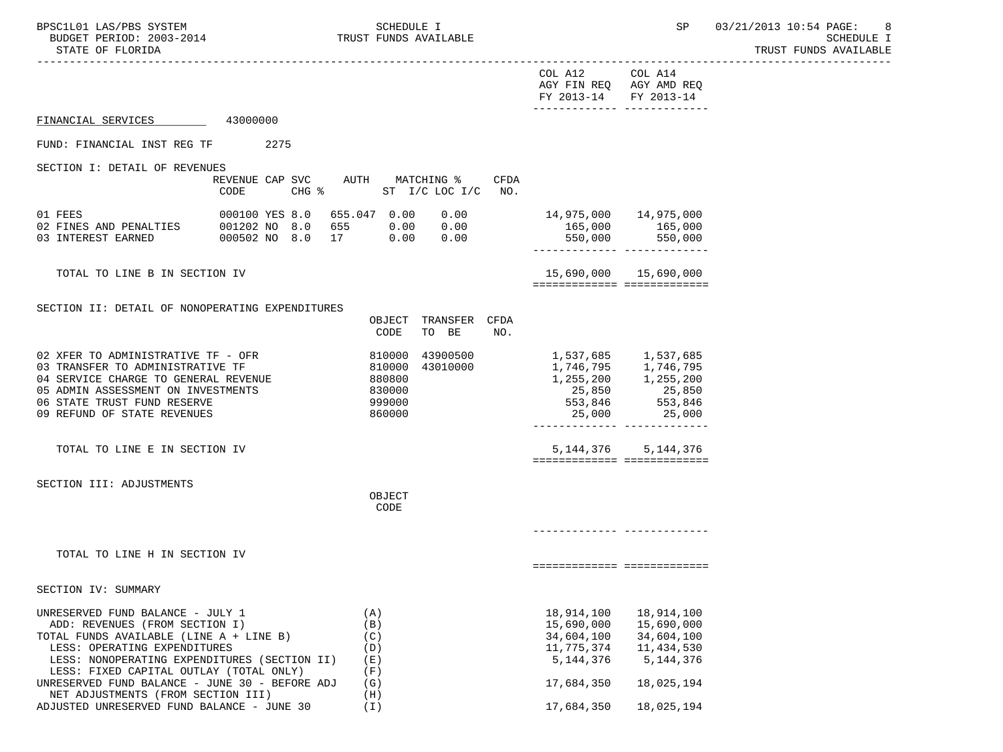|                                                                                                     |      |      |            |        |                                                             |      | COL A12 COL A14<br>AGY FIN REQ AGY AMD REQ<br>FY 2013-14 FY 2013-14 |                                                        |  |
|-----------------------------------------------------------------------------------------------------|------|------|------------|--------|-------------------------------------------------------------|------|---------------------------------------------------------------------|--------------------------------------------------------|--|
| FINANCIAL SERVICES 43000000                                                                         |      |      |            |        |                                                             |      |                                                                     | -------------- --------------                          |  |
| FUND: FINANCIAL INST REG TF                                                                         |      | 2275 |            |        |                                                             |      |                                                                     |                                                        |  |
| SECTION I: DETAIL OF REVENUES                                                                       |      |      |            |        |                                                             |      |                                                                     |                                                        |  |
|                                                                                                     | CODE |      |            |        | REVENUE CAP SVC AUTH MATCHING %<br>CHG % ST I/C LOC I/C NO. | CFDA |                                                                     |                                                        |  |
| 01 FEES                                                                                             |      |      |            |        | 000100 YES 8.0 655.047 0.00 0.00                            |      | 14,975,000 14,975,000                                               |                                                        |  |
| 02 FINES AND PENALTIES 001202 NO 8.0 655 0.00 0.00<br>03 INTEREST EARNED 000502 NO 8.0 17 0.00 0.00 |      |      |            |        |                                                             |      | 165,000 165,000                                                     |                                                        |  |
|                                                                                                     |      |      |            |        |                                                             |      |                                                                     | 550,000 550,000<br>-------------- --------------       |  |
| TOTAL TO LINE B IN SECTION IV                                                                       |      |      |            |        |                                                             |      |                                                                     | 15,690,000 15,690,000                                  |  |
|                                                                                                     |      |      |            |        |                                                             |      |                                                                     | ===========================                            |  |
| SECTION II: DETAIL OF NONOPERATING EXPENDITURES                                                     |      |      |            |        |                                                             |      |                                                                     |                                                        |  |
|                                                                                                     |      |      |            |        | OBJECT TRANSFER CFDA                                        |      |                                                                     |                                                        |  |
|                                                                                                     |      |      |            | CODE   | TO BE                                                       | NO.  |                                                                     |                                                        |  |
| 02 XFER TO ADMINISTRATIVE TF - OFR                                                                  |      |      |            |        |                                                             |      |                                                                     |                                                        |  |
| 03 TRANSFER TO ADMINISTRATIVE TF                                                                    |      |      |            |        | 810000 43900500<br>810000 43010000                          |      | 1,537,685        1,537,685<br>1,746,795        1,746,795            |                                                        |  |
| 04 SERVICE CHARGE TO GENERAL REVENUE                                                                |      |      | 880800     |        |                                                             |      | 1, 255, 200 1, 255, 200                                             |                                                        |  |
| 05 ADMIN ASSESSMENT ON INVESTMENTS                                                                  |      |      |            | 830000 |                                                             |      |                                                                     |                                                        |  |
| 06 STATE TRUST FUND RESERVE                                                                         |      |      |            | 999000 |                                                             |      |                                                                     | 25,000                                                 |  |
| 09 REFUND OF STATE REVENUES                                                                         |      |      |            | 860000 |                                                             |      | 25,000                                                              | -------------- --------------                          |  |
| TOTAL TO LINE E IN SECTION IV                                                                       |      |      |            |        |                                                             |      |                                                                     | 5, 144, 376 5, 144, 376<br>=========================== |  |
|                                                                                                     |      |      |            |        |                                                             |      |                                                                     |                                                        |  |
| SECTION III: ADJUSTMENTS                                                                            |      |      |            | OBJECT |                                                             |      |                                                                     |                                                        |  |
|                                                                                                     |      |      |            | CODE   |                                                             |      |                                                                     |                                                        |  |
|                                                                                                     |      |      |            |        |                                                             |      |                                                                     |                                                        |  |
|                                                                                                     |      |      |            |        |                                                             |      |                                                                     |                                                        |  |
| TOTAL TO LINE H IN SECTION IV                                                                       |      |      |            |        |                                                             |      |                                                                     | ============================                           |  |
|                                                                                                     |      |      |            |        |                                                             |      |                                                                     |                                                        |  |
| SECTION IV: SUMMARY                                                                                 |      |      |            |        |                                                             |      |                                                                     |                                                        |  |
| UNRESERVED FUND BALANCE - JULY 1                                                                    |      |      | (A)        |        |                                                             |      | 18,914,100                                                          | 18,914,100                                             |  |
| ADD: REVENUES (FROM SECTION I)                                                                      |      |      | (B)        |        |                                                             |      | 15,690,000                                                          | 15,690,000                                             |  |
| TOTAL FUNDS AVAILABLE (LINE A + LINE B)                                                             |      |      | (C)        |        |                                                             |      | 34,604,100                                                          | 34,604,100                                             |  |
| LESS: OPERATING EXPENDITURES                                                                        |      |      | (D)        |        |                                                             |      | 11,775,374                                                          | 11,434,530                                             |  |
| LESS: NONOPERATING EXPENDITURES (SECTION II)<br>LESS: FIXED CAPITAL OUTLAY (TOTAL ONLY)             |      |      | (E)<br>(F) |        |                                                             |      | 5, 144, 376                                                         | 5, 144, 376                                            |  |
| UNRESERVED FUND BALANCE - JUNE 30 - BEFORE ADJ                                                      |      |      | (G)        |        |                                                             |      | 17,684,350                                                          | 18,025,194                                             |  |
| NET ADJUSTMENTS (FROM SECTION III)                                                                  |      |      | (H)        |        |                                                             |      |                                                                     |                                                        |  |
| ADJUSTED UNRESERVED FUND BALANCE - JUNE 30                                                          |      |      | $(\bot)$   |        |                                                             |      | 17,684,350                                                          | 18,025,194                                             |  |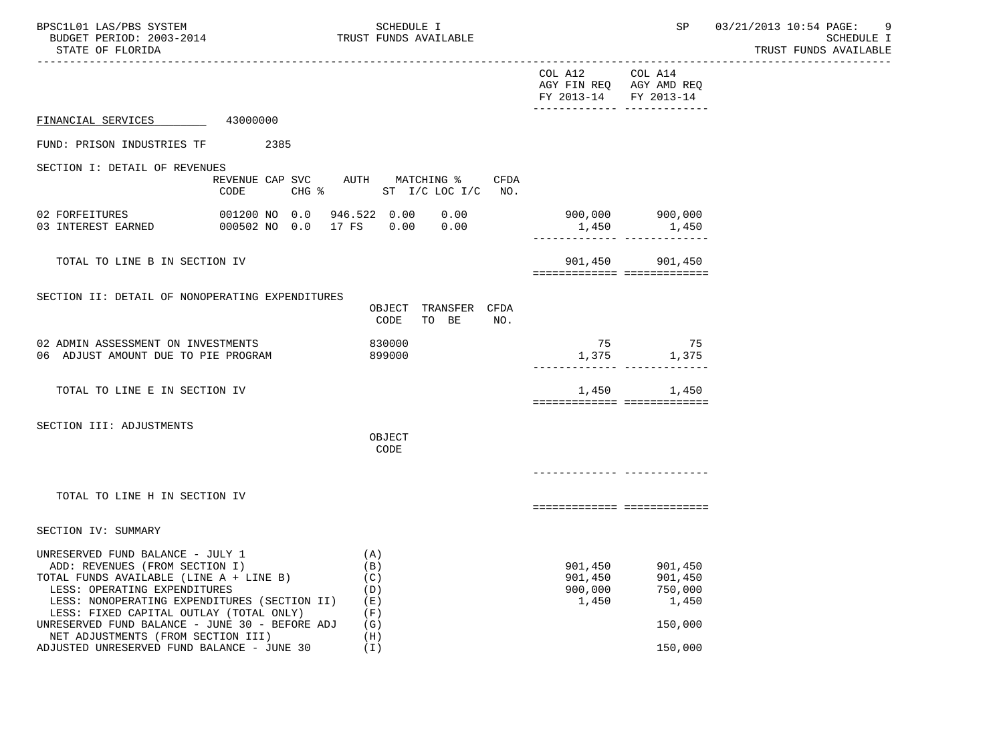| BPSC1L01 LAS/PBS SYSTEM<br>BUDGET PERIOD: 2003-2014<br>STATE OF FLORIDA                                                                                                                                                                                                                                                                                                        |                                         | SCHEDULE I<br>TRUST FUNDS AVAILABLE                         |                                        |                                                                                 | SP 03/21/2013 10:54 PAGE:<br>-9<br>SCHEDULE I<br>TRUST FUNDS AVAILABLE |
|--------------------------------------------------------------------------------------------------------------------------------------------------------------------------------------------------------------------------------------------------------------------------------------------------------------------------------------------------------------------------------|-----------------------------------------|-------------------------------------------------------------|----------------------------------------|---------------------------------------------------------------------------------|------------------------------------------------------------------------|
|                                                                                                                                                                                                                                                                                                                                                                                |                                         |                                                             | COL A12<br>FY 2013-14                  | COL A14<br>AGY FIN REQ AGY AMD REQ<br>FY 2013-14<br>______________ ____________ |                                                                        |
| FINANCIAL SERVICES 43000000                                                                                                                                                                                                                                                                                                                                                    |                                         |                                                             |                                        |                                                                                 |                                                                        |
| FUND: PRISON INDUSTRIES TF                                                                                                                                                                                                                                                                                                                                                     | 2385                                    |                                                             |                                        |                                                                                 |                                                                        |
| SECTION I: DETAIL OF REVENUES                                                                                                                                                                                                                                                                                                                                                  | REVENUE CAP SVC AUTH MATCHING %<br>CODE | CFDA<br>CHG % ST I/C LOC I/C NO.                            |                                        |                                                                                 |                                                                        |
| 02 FORFEITURES<br>03 INTEREST EARNED                                                                                                                                                                                                                                                                                                                                           | 000502 NO 0.0 17 FS 0.00                | 0.00<br>0.00                                                |                                        | 900,000 900,000<br>1,450 1,450<br>-------------- -------------                  |                                                                        |
| TOTAL TO LINE B IN SECTION IV                                                                                                                                                                                                                                                                                                                                                  |                                         |                                                             |                                        | 901,450 901,450<br>===========================                                  |                                                                        |
| SECTION II: DETAIL OF NONOPERATING EXPENDITURES                                                                                                                                                                                                                                                                                                                                |                                         | OBJECT TRANSFER CFDA<br>CODE<br>TO BE<br>NO.                |                                        |                                                                                 |                                                                        |
| 02 ADMIN ASSESSMENT ON INVESTMENTS<br>06 ADJUST AMOUNT DUE TO PIE PROGRAM                                                                                                                                                                                                                                                                                                      |                                         | 830000<br>899000                                            |                                        | 75 75<br>1,375 1,375<br>------------ -------------                              |                                                                        |
| TOTAL TO LINE E IN SECTION IV                                                                                                                                                                                                                                                                                                                                                  |                                         |                                                             | 1,450                                  | 1,450<br>===========================                                            |                                                                        |
| SECTION III: ADJUSTMENTS                                                                                                                                                                                                                                                                                                                                                       |                                         | OBJECT<br>CODE                                              |                                        |                                                                                 |                                                                        |
| TOTAL TO LINE H IN SECTION IV                                                                                                                                                                                                                                                                                                                                                  |                                         |                                                             |                                        | ===========================                                                     |                                                                        |
| SECTION IV: SUMMARY                                                                                                                                                                                                                                                                                                                                                            |                                         |                                                             |                                        |                                                                                 |                                                                        |
| UNRESERVED FUND BALANCE - JULY 1<br>ADD: REVENUES (FROM SECTION I)<br>TOTAL FUNDS AVAILABLE (LINE A + LINE B)<br>LESS: OPERATING EXPENDITURES<br>LESS: NONOPERATING EXPENDITURES (SECTION II)<br>LESS: FIXED CAPITAL OUTLAY (TOTAL ONLY)<br>UNRESERVED FUND BALANCE - JUNE 30 - BEFORE ADJ<br>NET ADJUSTMENTS (FROM SECTION III)<br>ADJUSTED UNRESERVED FUND BALANCE - JUNE 30 |                                         | (A)<br>(B)<br>(C)<br>(D)<br>(E)<br>(F)<br>(G)<br>(H)<br>(T) | 901,450<br>901,450<br>900,000<br>1,450 | 901,450<br>901,450<br>750,000<br>1,450<br>150,000<br>150,000                    |                                                                        |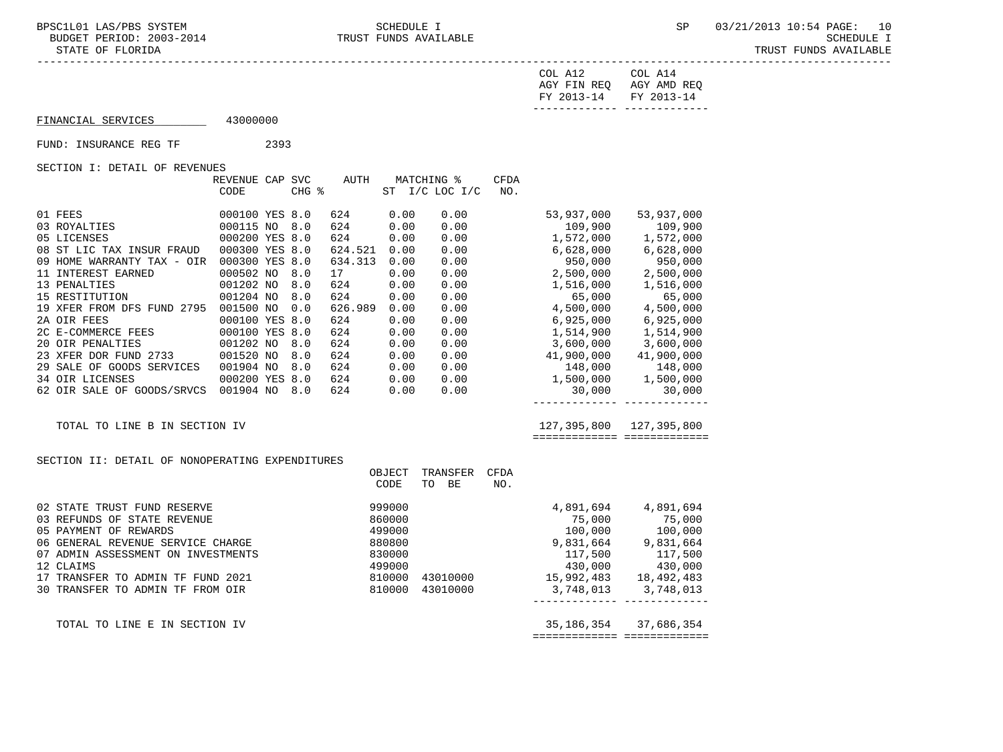07 ADMIN ASSESSMENT ON INVESTMENTS 830000<br>12 CLAIMS 499000

30 TRANSFER TO ADMIN TF FROM OIR

 ----------------------------------------------------------------------------------------------------------------------------------- COL A12 COL A14 AGY FIN REQ AGY AMD REQ FY 2013-14 FY 2013-14 ------------- ------------- FINANCIAL SERVICES 43000000 FUND: INSURANCE REG TF 2393 SECTION I: DETAIL OF REVENUES REVENUE CAP SVC AUTH MATCHING % CFDA CODE CHG % ST I/C LOC I/C NO. 01 FEES 000100 YES 8.0 624 0.00 0.00 53,937,000 53,937,000 03 ROYALTIES 000115 NO 8.0 624 0.00 0.00 109,900 109,900 05 LICENSES 6000200 YES 8.0 624 0.00 0.00 1,572,000 1,572,000 08 ST LIC TAX INSUR FRAUD 000300 YES 8.0 624.521 0.00 0.00 6,628,000 6,628,000 09 HOME WARRANTY TAX - OIR 000300 YES 8.0 634.313 0.00 0.00 0.00 950,000 950,000 950,000<br>11 INTEREST EARNED 000502 NO 8.0 17 0.00 0.00 0.00 2,500,000 2,500,000<br>13 PENALTIES 000 001202 NO 8.0 624 0.00 0.00 1,516,000 1,516,0 11 INTEREST EARNED 000502 NO 8.0 17 0.00 0.00 2,500,000 2,500,000 13 PENALTIES 001202 NO 8.0 624 0.00 0.00 1,516,000 1,516,000 15 RESTITUTION 001204 NO 8.0 624 0.00 0.00 65,000 65,000 19 XFER FROM DFS FUND 2795 001500 NO 0.0 626.989 0.00 0.00 4,500,000 4,500,000 2A OIR FEES 000100 YES 8.0 624 0.00 0.00 6,925,000 6,925,000<br>2C E-COMMERCE FEES 000100 YES 8.0 624 0.00 0.00 0.00 1,514,900 1,514,900 2C E-COMMERCE FEES 000100 YES 8.0 624 0.00 0.00 1,514,900 1,514,900 20 OIR PENALTIES 001202 NO 8.0 624 0.00 0.00 3,600,000 3,600,000 23 20 OIR PENALTIES 2733 001202 NO 8.0 624 0.00 0.00 3,600,000 3,600,000 3,600,000 3,600,000 0.00 0.00 0.00 0.00<br>23 27 27 2733 001520 NO 8.0 624 0.00 0.00 41,900,000 41,900,000 41,900,000 29 SALE OF GOODS SERVICES 001904 N 29 SALE OF GOODS SERVICES 001904 NO 8.0 624 0.00 0.00 148,000 148,000 34 OIR LICENSES 000200 YES 8.0 624 0.00 0.00 1,500,000 1,500,000 62 OIR SALE OF GOODS/SRVCS 001904 NO 8.0 624 0.00 0.00 ------------- ------------- TOTAL TO LINE B IN SECTION IV 127,395,800 127,395,800 ============= ============= SECTION II: DETAIL OF NONOPERATING EXPENDITURES OBJECT TRANSFER CFDA CODE TO BE NO. 02 STATE TRUST FUND RESERVE 999000 4,891,694 4,891,694 03 REFUNDS OF STATE REVENUE 860000 75,000 75,000 05 PAYMENT OF REWARDS 499000 100,000 100,000 06 GENERAL REVENUE SERVICE CHARGE 880800 880800<br>07 ADMIN ASSESSMENT ON INVESTMENTS 830000

07 ADMIN ASSESSMENT ON INVESTMENTS <br>
12 CLAIMS <br>
12 CLAIMS <br>
130,000 430,000 430,000 43010000 43010000 430,000 430,000 430,000 430,000<br>
15,992,483 18,492,483<br>
30 TRANSFER TO ADMIN TF FROM OIR <br>
30 TRANSFER TO ADMIN TF FROM 12 CHAINS<br>17 TRANSFER TO ADMIN TF FUND 2021 15,992,483 18,492,483<br>18,492,483 18,492,483 18,492,483 18,492,483 18,492,483 18,492,483 18,492,483

TOTAL TO LINE E IN SECTION IV 35,186,354 37,686,354

------------- -------------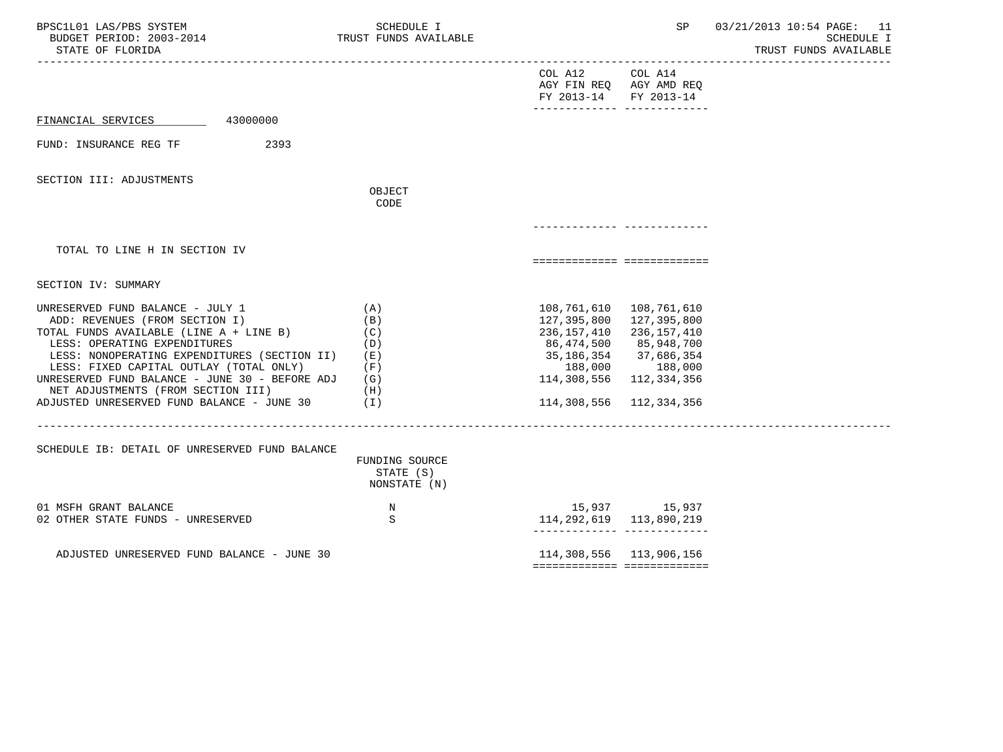| BPSC1L01 LAS/PBS SYSTEM<br>BUDGET PERIOD: 2003-2014<br>STATE OF FLORIDA<br>------------------------------------                                                                                                                                                                                                                                                                | SCHEDULE I<br>TRUST FUNDS AVAILABLE                         |                                                                                                                                                                                   | SP                                                                                | 03/21/2013 10:54 PAGE: 11<br>SCHEDULE I<br>TRUST FUNDS AVAILABLE |
|--------------------------------------------------------------------------------------------------------------------------------------------------------------------------------------------------------------------------------------------------------------------------------------------------------------------------------------------------------------------------------|-------------------------------------------------------------|-----------------------------------------------------------------------------------------------------------------------------------------------------------------------------------|-----------------------------------------------------------------------------------|------------------------------------------------------------------|
|                                                                                                                                                                                                                                                                                                                                                                                |                                                             | COL A12<br>FY 2013-14                                                                                                                                                             | COL A14<br>AGY FIN REQ AGY AMD REQ<br>FY 2013-14<br>-------------- -------------- |                                                                  |
| 43000000<br>FINANCIAL SERVICES                                                                                                                                                                                                                                                                                                                                                 |                                                             |                                                                                                                                                                                   |                                                                                   |                                                                  |
| 2393<br>FUND: INSURANCE REG TF                                                                                                                                                                                                                                                                                                                                                 |                                                             |                                                                                                                                                                                   |                                                                                   |                                                                  |
| SECTION III: ADJUSTMENTS                                                                                                                                                                                                                                                                                                                                                       | OBJECT<br>CODE                                              |                                                                                                                                                                                   |                                                                                   |                                                                  |
|                                                                                                                                                                                                                                                                                                                                                                                |                                                             |                                                                                                                                                                                   |                                                                                   |                                                                  |
| TOTAL TO LINE H IN SECTION IV                                                                                                                                                                                                                                                                                                                                                  |                                                             |                                                                                                                                                                                   | ===========================                                                       |                                                                  |
| SECTION IV: SUMMARY                                                                                                                                                                                                                                                                                                                                                            |                                                             |                                                                                                                                                                                   |                                                                                   |                                                                  |
| UNRESERVED FUND BALANCE - JULY 1<br>ADD: REVENUES (FROM SECTION I)<br>TOTAL FUNDS AVAILABLE (LINE A + LINE B)<br>LESS: OPERATING EXPENDITURES<br>LESS: NONOPERATING EXPENDITURES (SECTION II)<br>LESS: FIXED CAPITAL OUTLAY (TOTAL ONLY)<br>UNRESERVED FUND BALANCE - JUNE 30 - BEFORE ADJ<br>NET ADJUSTMENTS (FROM SECTION III)<br>ADJUSTED UNRESERVED FUND BALANCE - JUNE 30 | (A)<br>(B)<br>(C)<br>(D)<br>(E)<br>(F)<br>(G)<br>(H)<br>(T) | 108,761,610    108,761,610<br>127,395,800 127,395,800<br>236, 157, 410 236, 157, 410<br>86,474,500<br>35,186,354 37,686,354<br>114,308,556 112,334,356<br>114,308,556 112,334,356 | 85,948,700<br>188,000 188,000                                                     |                                                                  |
| SCHEDULE IB: DETAIL OF UNRESERVED FUND BALANCE                                                                                                                                                                                                                                                                                                                                 | FUNDING SOURCE<br>STATE (S)<br>NONSTATE (N)                 |                                                                                                                                                                                   |                                                                                   |                                                                  |
| 01 MSFH GRANT BALANCE<br>02 OTHER STATE FUNDS - UNRESERVED                                                                                                                                                                                                                                                                                                                     | $_{\rm N}$<br>S                                             | 114, 292, 619 113, 890, 219                                                                                                                                                       | 15,937 15,937<br>________________________________                                 |                                                                  |
| ADJUSTED UNRESERVED FUND BALANCE - JUNE 30                                                                                                                                                                                                                                                                                                                                     |                                                             | 114,308,556 113,906,156<br>============================                                                                                                                           |                                                                                   |                                                                  |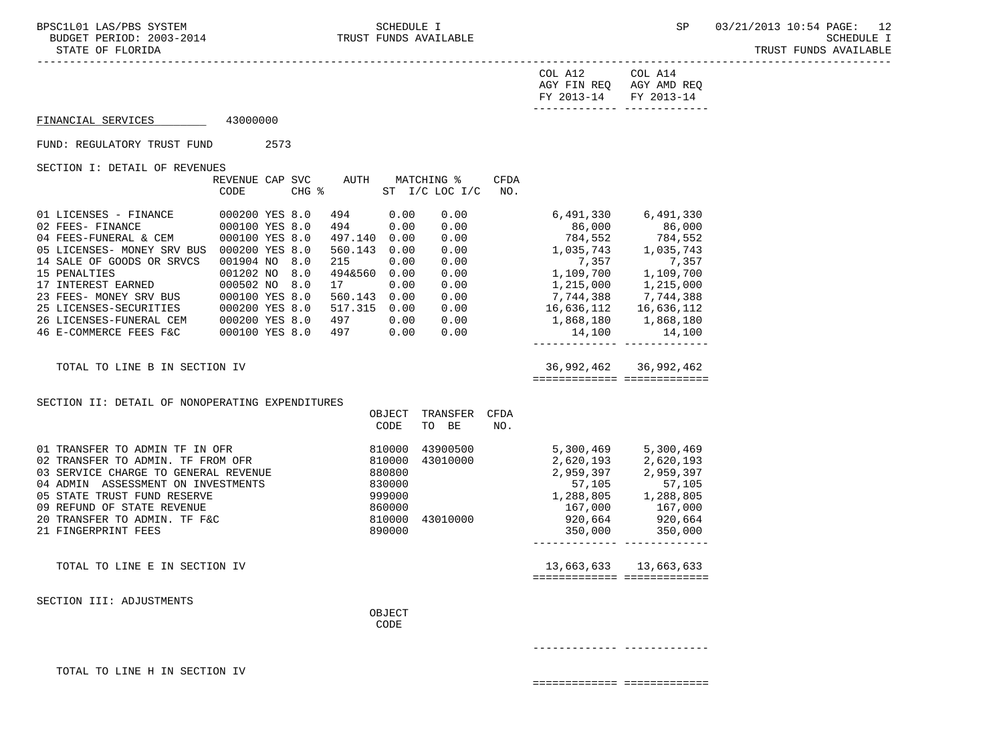|                                                                                                                                                                                                                                                  |                                |  |                     |                  |                                                       |             | COL A12 COL A14<br>AGY FIN REQ AGY AMD REQ<br>FY 2013-14 FY 2013-14<br>-------------- -------------- |                       |
|--------------------------------------------------------------------------------------------------------------------------------------------------------------------------------------------------------------------------------------------------|--------------------------------|--|---------------------|------------------|-------------------------------------------------------|-------------|------------------------------------------------------------------------------------------------------|-----------------------|
| FINANCIAL SERVICES                                                                                                                                                                                                                               | 43000000                       |  |                     |                  |                                                       |             |                                                                                                      |                       |
| FUND: REGULATORY TRUST FUND                                                                                                                                                                                                                      | 2573                           |  |                     |                  |                                                       |             |                                                                                                      |                       |
| SECTION I: DETAIL OF REVENUES                                                                                                                                                                                                                    |                                |  |                     |                  |                                                       |             |                                                                                                      |                       |
|                                                                                                                                                                                                                                                  | CODE                           |  | CHG %               |                  | REVENUE CAP SVC AUTH MATCHING %<br>ST I/C LOC I/C NO. | <b>CFDA</b> |                                                                                                      |                       |
| 01 LICENSES - FINANCE 000200 YES 8.0<br>02 FEES- FINANCE 000100 YES 8.0<br>04 FEES-FUNERAL & CEM 000100 YES 8.0                                                                                                                                  |                                |  | 494<br>494          | 0.00<br>0.00     | 0.00<br>0.00                                          |             | 6,491,330 6,491,330                                                                                  | 86,000 86,000         |
|                                                                                                                                                                                                                                                  |                                |  | 497.140 0.00        |                  | 0.00                                                  |             | 784,552<br>$784,552$<br>1,035,743<br>1,035,743<br>1,035,743                                          |                       |
| 05 LICENSES- MONEY SRV BUS 000200 YES 8.0                                                                                                                                                                                                        |                                |  | 560.143 0.00        |                  | 0.00                                                  |             |                                                                                                      |                       |
| 14 SALE OF GOODS OR SRVCS<br>15 PENALTIES                                                                                                                                                                                                        | 001904 NO 8.0<br>001202 NO 8.0 |  | 215<br>494&560 0.00 | 0.00             | 0.00<br>0.00                                          |             | 7,357<br>1,109,700 1,109,700                                                                         |                       |
|                                                                                                                                                                                                                                                  |                                |  |                     |                  |                                                       |             | $1,215,000$<br>0.00 $7,744,388$                                                                      | 1,215,000             |
|                                                                                                                                                                                                                                                  |                                |  |                     |                  |                                                       |             |                                                                                                      | 7,744,388             |
|                                                                                                                                                                                                                                                  |                                |  |                     |                  |                                                       |             | 500.143 0.00 0.00<br>517.315 0.00 0.00 16,636,112 16,636,112<br>497 0.00 0.00 1,868,180 1,868,180    |                       |
| 17 INTEREST EARNED<br>23 FEES- MONEY SRV BUS<br>25 LICENSES-SECURITIES<br>26 LICENSES-FUNERAL CEM<br>26 LICENSES-FUNERAL CEM<br>26 LICENSES-FUNERAL CEM<br>26 LICENSES-FUNERAL CEM<br>26 LICENSES-FUNERAL CEM<br>26 LICENSES-FUNERAL CEM<br>26 L |                                |  |                     |                  | 0.00                                                  |             | 14,100                                                                                               | 14,100                |
|                                                                                                                                                                                                                                                  |                                |  |                     |                  |                                                       |             | ________________________________                                                                     |                       |
| TOTAL TO LINE B IN SECTION IV                                                                                                                                                                                                                    |                                |  |                     |                  |                                                       |             | ===========================                                                                          | 36,992,462 36,992,462 |
|                                                                                                                                                                                                                                                  |                                |  |                     |                  |                                                       |             |                                                                                                      |                       |
| SECTION II: DETAIL OF NONOPERATING EXPENDITURES                                                                                                                                                                                                  |                                |  |                     | OBJECT           | TRANSFER CFDA                                         |             |                                                                                                      |                       |
|                                                                                                                                                                                                                                                  |                                |  |                     | CODE             | TO BE                                                 | NO.         |                                                                                                      |                       |
| 01 TRANSFER TO ADMIN TF IN OFR                                                                                                                                                                                                                   |                                |  |                     |                  | 810000 43900500<br>810000 43010000<br>43900500        |             | 5,300,469 5,300,469                                                                                  |                       |
| 02 TRANSFER TO ADMIN. TF FROM OFR                                                                                                                                                                                                                |                                |  |                     |                  |                                                       |             | 2,620,193 2,620,193                                                                                  |                       |
| 03 SERVICE CHARGE TO GENERAL REVENUE<br>04 ADMIN ASSESSMENT ON INVESTMENTS                                                                                                                                                                       |                                |  | 880800              |                  |                                                       |             | 2,959,397 2,959,397<br>57,105                                                                        | 57,105                |
| 05 STATE TRUST FUND RESERVE                                                                                                                                                                                                                      |                                |  |                     |                  |                                                       |             |                                                                                                      |                       |
| 09 REFUND OF STATE REVENUE                                                                                                                                                                                                                       |                                |  |                     | 999000<br>860000 |                                                       |             |                                                                                                      |                       |
| 20 TRANSFER TO ADMIN. TF F&C                                                                                                                                                                                                                     |                                |  |                     |                  | 810000 43010000                                       |             | $1,288,805$<br>$167,000$<br>$920,664$<br>$350,000$<br>$920,600$<br>$350,000$                         |                       |
| 21 FINGERPRINT FEES                                                                                                                                                                                                                              |                                |  |                     | 890000           |                                                       |             |                                                                                                      |                       |
| TOTAL TO LINE E IN SECTION IV                                                                                                                                                                                                                    |                                |  |                     |                  |                                                       |             |                                                                                                      | 13,663,633 13,663,633 |
|                                                                                                                                                                                                                                                  |                                |  |                     |                  |                                                       |             | ============================                                                                         |                       |
| SECTION III: ADJUSTMENTS                                                                                                                                                                                                                         |                                |  |                     |                  |                                                       |             |                                                                                                      |                       |
|                                                                                                                                                                                                                                                  |                                |  |                     | OBJECT           |                                                       |             |                                                                                                      |                       |
|                                                                                                                                                                                                                                                  |                                |  |                     | CODE             |                                                       |             |                                                                                                      |                       |

------------- -------------

TOTAL TO LINE H IN SECTION IV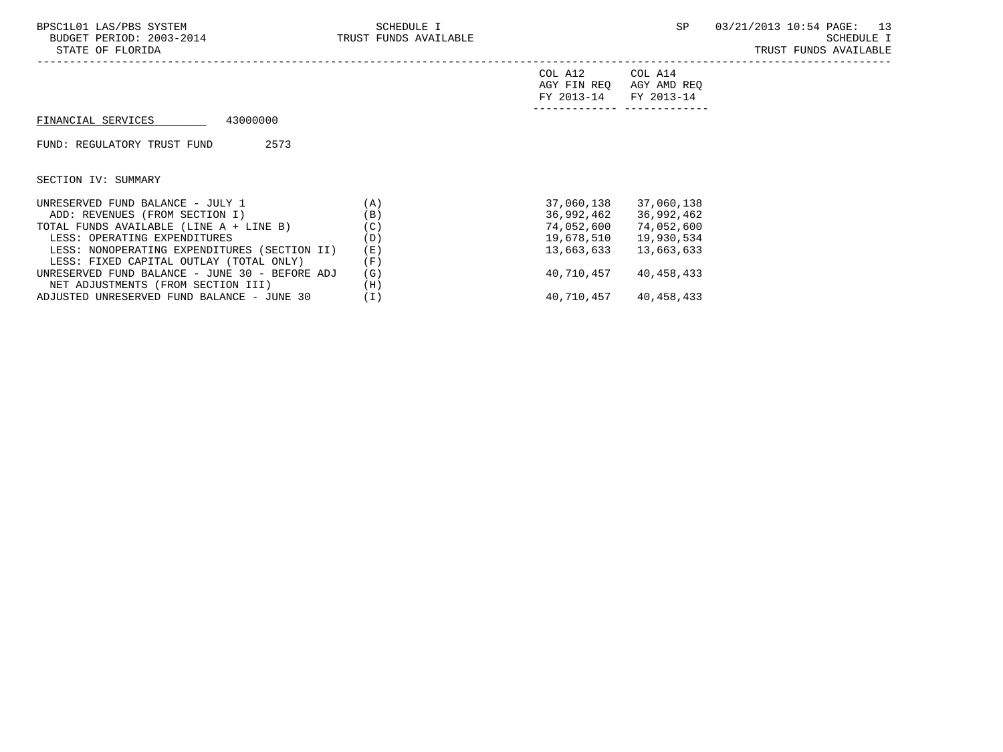| BPSC1L01 LAS/PBS SYSTEM<br>BUDGET PERIOD: 2003-2014<br>STATE OF FLORIDA | SCHEDULE I<br>TRUST FUNDS AVAILABLE |                                      | SP.                                  | 03/21/2013 10:54 PAGE: 13<br>SCHEDULE I<br>TRUST FUNDS AVAILABLE |
|-------------------------------------------------------------------------|-------------------------------------|--------------------------------------|--------------------------------------|------------------------------------------------------------------|
|                                                                         |                                     | COL A12<br>AGY FIN REO<br>FY 2013-14 | COL A14<br>AGY AMD REQ<br>FY 2013-14 |                                                                  |
| 43000000<br>FINANCIAL SERVICES                                          |                                     |                                      |                                      |                                                                  |
| 2573<br>FUND: REGULATORY TRUST FUND                                     |                                     |                                      |                                      |                                                                  |
| SECTION IV: SUMMARY                                                     |                                     |                                      |                                      |                                                                  |
| UNRESERVED FUND BALANCE - JULY 1                                        | (A)                                 | 37,060,138                           | 37,060,138                           |                                                                  |
| ADD: REVENUES (FROM SECTION I)                                          | (B)                                 | 36,992,462                           | 36,992,462                           |                                                                  |
| TOTAL FUNDS AVAILABLE (LINE A + LINE B)                                 | (C)                                 | 74,052,600                           | 74,052,600                           |                                                                  |

TOTAL FUNDS AVAILABLE (LINE A + LINE B)  $(C)$ <br>
LESS: OPERATING EXPENDITURES (D)  $19,678,510$  19,930,534 LESS: OPERATING EXPENDITURES (D) (D) 19,678,510 19,930,534<br>LESS: NONOPERATING EXPENDITURES (SECTION II) (E) 13,663,633 13,663,633

UNRESERVED FUND BALANCE – JUNE 30 – BEFORE ADJ (G) 40,710,457 40,458,433<br>NET ADJUSTMENTS (FROM SECTION III) (H)

ADJUSTED UNRESERVED FUND BALANCE - JUNE 30 (I) 40,710,457 40,458,433

LESS: NONOPERATING EXPENDITURES (SECTION II) (E)<br>LESS: FIXED CAPITAL OUTLAY (TOTAL ONLY) (F) LESS: FIXED CAPITAL OUTLAY (TOTAL ONLY) (F)<br>NRESERVED FUND BALANCE - JUNE 30 - BEFORE ADJ (G)

NET ADJUSTMENTS (FROM SECTION III) (H)<br>DJUSTED UNRESERVED FUND BALANCE - JUNE 30 (I)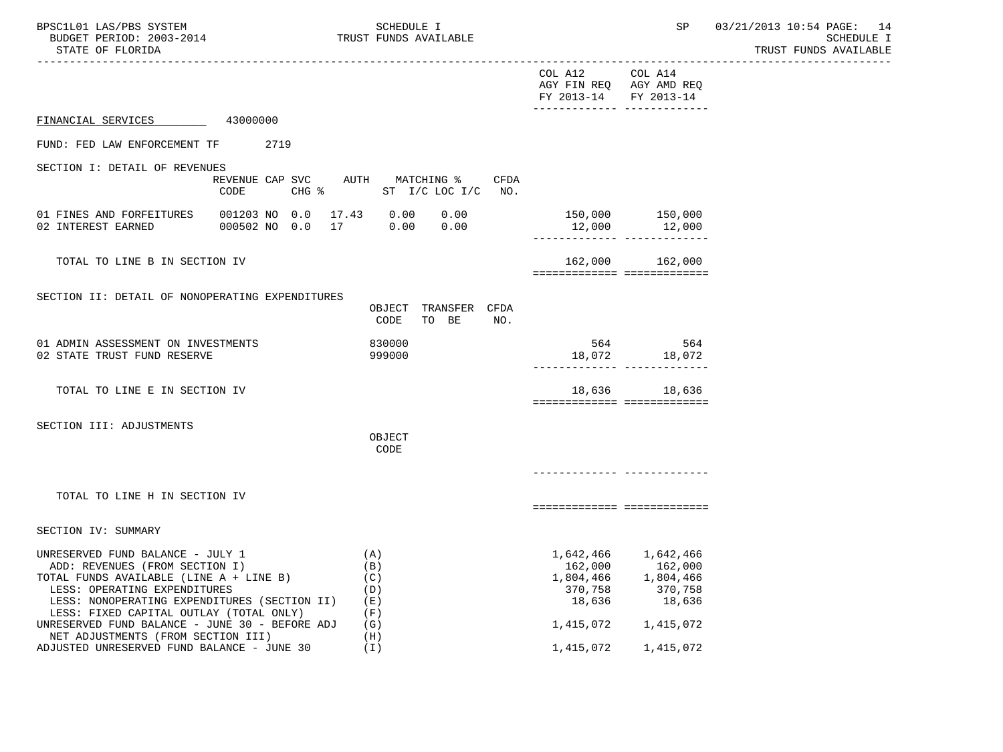| BPSC1L01 LAS/PBS SYSTEM<br>BUDGET PERIOD: 2003-2014<br>STATE OF FLORIDA                                                                                                                                                                                                                    |                                                   | SCHEDULE I<br>TRUST FUNDS AVAILABLE           |                                                        | SP<br>-------------------------------------                                   | 03/21/2013 10:54 PAGE: 14<br>SCHEDULE I<br>TRUST FUNDS AVAILABLE |
|--------------------------------------------------------------------------------------------------------------------------------------------------------------------------------------------------------------------------------------------------------------------------------------------|---------------------------------------------------|-----------------------------------------------|--------------------------------------------------------|-------------------------------------------------------------------------------|------------------------------------------------------------------|
|                                                                                                                                                                                                                                                                                            |                                                   |                                               | COL A12<br>FY 2013-14                                  | COL A14<br>AGY FIN REQ AGY AMD REQ<br>FY 2013-14                              |                                                                  |
| FINANCIAL SERVICES 43000000                                                                                                                                                                                                                                                                |                                                   |                                               |                                                        |                                                                               |                                                                  |
| FUND: FED LAW ENFORCEMENT TF 2719                                                                                                                                                                                                                                                          |                                                   |                                               |                                                        |                                                                               |                                                                  |
| SECTION I: DETAIL OF REVENUES                                                                                                                                                                                                                                                              |                                                   |                                               |                                                        |                                                                               |                                                                  |
|                                                                                                                                                                                                                                                                                            | REVENUE CAP SVC AUTH MATCHING %<br>CODE           | CFDA<br>CHG % ST I/C LOC I/C NO.              |                                                        |                                                                               |                                                                  |
| 01 FINES AND FORFEITURES<br>02 INTEREST EARNED                                                                                                                                                                                                                                             | 001203 NO 0.0 17.43 0.00<br>000502 NO 0.0 17 0.00 | 0.00<br>0.00                                  |                                                        | 150,000 150,000<br>12,000 12,000<br>-------------- -------------              |                                                                  |
| TOTAL TO LINE B IN SECTION IV                                                                                                                                                                                                                                                              |                                                   |                                               |                                                        | 162,000 162,000<br>===========================                                |                                                                  |
| SECTION II: DETAIL OF NONOPERATING EXPENDITURES                                                                                                                                                                                                                                            |                                                   | OBJECT TRANSFER CFDA<br>CODE<br>TO BE<br>NO.  |                                                        |                                                                               |                                                                  |
| 01 ADMIN ASSESSMENT ON INVESTMENTS<br>02 STATE TRUST FUND RESERVE                                                                                                                                                                                                                          |                                                   | 830000<br>999000                              |                                                        | 564 564<br>18,072 18,072                                                      |                                                                  |
| TOTAL TO LINE E IN SECTION IV                                                                                                                                                                                                                                                              |                                                   |                                               |                                                        | 18,636 18,636<br>============================                                 |                                                                  |
| SECTION III: ADJUSTMENTS                                                                                                                                                                                                                                                                   |                                                   | OBJECT<br>CODE                                |                                                        |                                                                               |                                                                  |
| TOTAL TO LINE H IN SECTION IV                                                                                                                                                                                                                                                              |                                                   |                                               |                                                        | ===========================                                                   |                                                                  |
| SECTION IV: SUMMARY                                                                                                                                                                                                                                                                        |                                                   |                                               |                                                        |                                                                               |                                                                  |
| UNRESERVED FUND BALANCE - JULY 1<br>ADD: REVENUES (FROM SECTION I)<br>TOTAL FUNDS AVAILABLE (LINE A + LINE B)<br>LESS: OPERATING EXPENDITURES<br>LESS: NONOPERATING EXPENDITURES (SECTION II)<br>LESS: FIXED CAPITAL OUTLAY (TOTAL ONLY)<br>UNRESERVED FUND BALANCE - JUNE 30 - BEFORE ADJ |                                                   | (A)<br>(B)<br>(C)<br>(D)<br>(E)<br>(F)<br>(G) | 162,000<br>1,804,466<br>370,758<br>18,636<br>1,415,072 | 1,642,466 1,642,466<br>162,000<br>1,804,466<br>370,758<br>18,636<br>1,415,072 |                                                                  |
| NET ADJUSTMENTS (FROM SECTION III)<br>ADJUSTED UNRESERVED FUND BALANCE - JUNE 30                                                                                                                                                                                                           |                                                   | (H)<br>(T)                                    | 1,415,072                                              | 1,415,072                                                                     |                                                                  |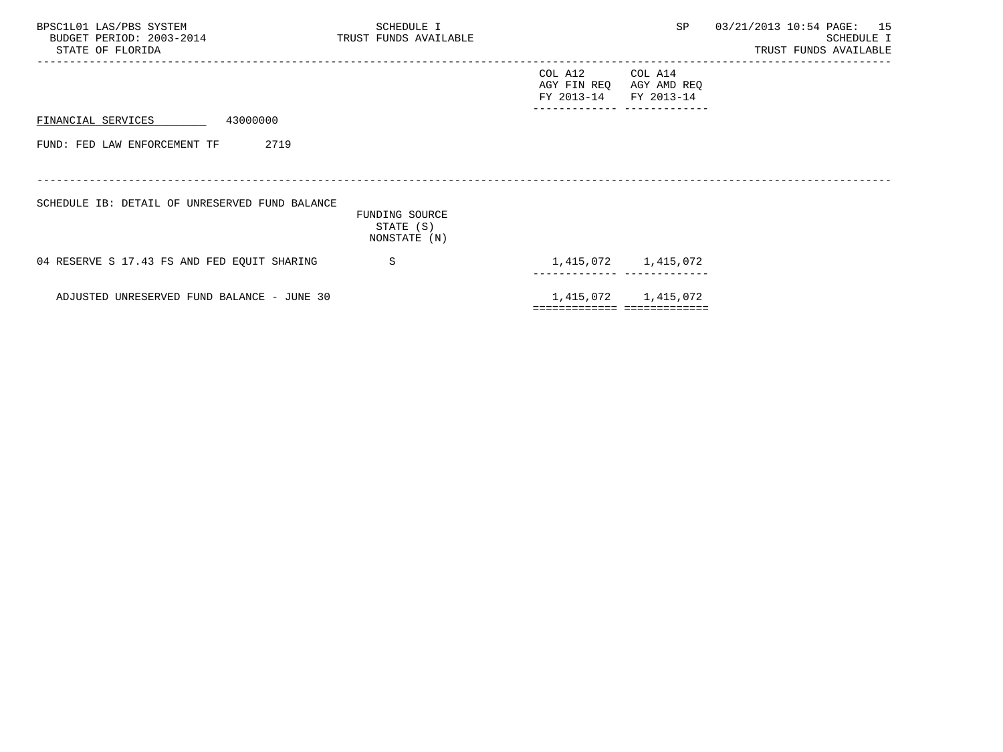| BPSC1L01 LAS/PBS SYSTEM<br>BUDGET PERIOD: 2003-2014<br>STATE OF FLORIDA | SCHEDULE I<br>TRUST FUNDS AVAILABLE |                                              | <b>SP</b>                    | 03/21/2013 10:54 PAGE: 15<br>SCHEDULE I<br>TRUST FUNDS AVAILABLE |
|-------------------------------------------------------------------------|-------------------------------------|----------------------------------------------|------------------------------|------------------------------------------------------------------|
|                                                                         |                                     | COL A12 COL A14<br>AGY FIN REQ<br>FY 2013-14 | AGY AMD REQ<br>FY 2013-14    |                                                                  |
| 43000000<br>FINANCIAL SERVICES                                          |                                     |                                              |                              |                                                                  |
| 2719<br>FUND: FED LAW ENFORCEMENT TF                                    |                                     |                                              |                              |                                                                  |
|                                                                         |                                     |                                              |                              |                                                                  |
| SCHEDULE IB: DETAIL OF UNRESERVED FUND BALANCE                          | FUNDING SOURCE<br>STATE (S)         |                                              |                              |                                                                  |
|                                                                         | NONSTATE (N)                        |                                              |                              |                                                                  |
| 04 RESERVE S 17.43 FS AND FED EQUIT SHARING                             | S                                   |                                              | 1,415,072 1,415,072          |                                                                  |
| ADJUSTED UNRESERVED FUND BALANCE - JUNE 30                              |                                     |                                              | 1,415,072 1,415,072          |                                                                  |
|                                                                         |                                     |                                              | ============================ |                                                                  |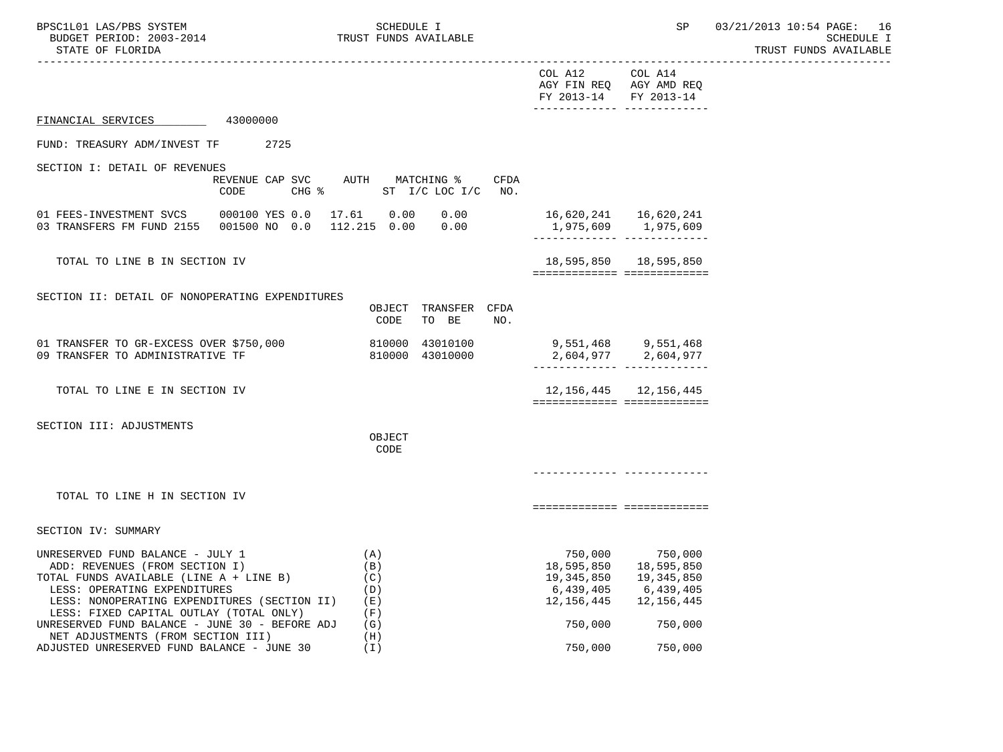| BPSC1L01 LAS/PBS SYSTEM<br>BUDGET PERIOD: 2003-2014<br>STATE OF FLORIDA                                                                                                                                                                  |                                                    | SCHEDULE I                             | TRUST FUNDS AVAILABLE              |      |                                                     | SP                                                                                        | 03/21/2013 10:54 PAGE: 16<br>SCHEDULE I<br>TRUST FUNDS AVAILABLE |
|------------------------------------------------------------------------------------------------------------------------------------------------------------------------------------------------------------------------------------------|----------------------------------------------------|----------------------------------------|------------------------------------|------|-----------------------------------------------------|-------------------------------------------------------------------------------------------|------------------------------------------------------------------|
|                                                                                                                                                                                                                                          |                                                    |                                        |                                    |      | COL A12<br>FY 2013-14                               | -------------------------------------<br>COL A14<br>AGY FIN REQ AGY AMD REQ<br>FY 2013-14 |                                                                  |
| FINANCIAL SERVICES 43000000                                                                                                                                                                                                              |                                                    |                                        |                                    |      |                                                     |                                                                                           |                                                                  |
| FUND: TREASURY ADM/INVEST TF 2725                                                                                                                                                                                                        |                                                    |                                        |                                    |      |                                                     |                                                                                           |                                                                  |
| SECTION I: DETAIL OF REVENUES<br>CODE                                                                                                                                                                                                    | REVENUE CAP SVC AUTH MATCHING %<br>CHG &           |                                        | ST $I/C$ LOC $I/C$ NO.             | CFDA |                                                     |                                                                                           |                                                                  |
| 01 FEES-INVESTMENT SVCS<br>03 TRANSFERS FM FUND 2155                                                                                                                                                                                     | 000100 YES 0.0  17.61  0.00  0.00<br>001500 NO 0.0 |                                        | 112.215  0.00  0.00                |      | 16,620,241   16,620,241                             |                                                                                           |                                                                  |
| TOTAL TO LINE B IN SECTION IV                                                                                                                                                                                                            |                                                    |                                        |                                    |      |                                                     | 18,595,850  18,595,850<br>============================                                    |                                                                  |
| SECTION II: DETAIL OF NONOPERATING EXPENDITURES                                                                                                                                                                                          |                                                    | CODE                                   | OBJECT TRANSFER CFDA<br>TO BE      | NO.  |                                                     |                                                                                           |                                                                  |
| 01 TRANSFER TO GR-EXCESS OVER \$750,000<br>09 TRANSFER TO ADMINISTRATIVE TF                                                                                                                                                              |                                                    |                                        | 810000 43010100<br>810000 43010000 |      | 9,551,468 9,551,468<br>2,604,977 2,604,977          | ______________ ___________                                                                |                                                                  |
| TOTAL TO LINE E IN SECTION IV                                                                                                                                                                                                            |                                                    |                                        |                                    |      |                                                     | 12, 156, 445 12, 156, 445<br>============================                                 |                                                                  |
| SECTION III: ADJUSTMENTS                                                                                                                                                                                                                 |                                                    | OBJECT<br>CODE                         |                                    |      |                                                     |                                                                                           |                                                                  |
|                                                                                                                                                                                                                                          |                                                    |                                        |                                    |      |                                                     |                                                                                           |                                                                  |
| TOTAL TO LINE H IN SECTION IV                                                                                                                                                                                                            |                                                    |                                        |                                    |      |                                                     | ===========================                                                               |                                                                  |
| SECTION IV: SUMMARY                                                                                                                                                                                                                      |                                                    |                                        |                                    |      |                                                     |                                                                                           |                                                                  |
| UNRESERVED FUND BALANCE - JULY 1<br>ADD: REVENUES (FROM SECTION I)<br>TOTAL FUNDS AVAILABLE (LINE A + LINE B)<br>LESS: OPERATING EXPENDITURES<br>LESS: NONOPERATING EXPENDITURES (SECTION II)<br>LESS: FIXED CAPITAL OUTLAY (TOTAL ONLY) |                                                    | (A)<br>(B)<br>(C)<br>(D)<br>(E)<br>(F) |                                    |      | 18,595,850<br>19,345,850<br>6,439,405<br>12,156,445 | 750,000 750,000<br>18,595,850<br>19, 345, 850<br>6,439,405<br>12, 156, 445                |                                                                  |
| UNRESERVED FUND BALANCE - JUNE 30 - BEFORE ADJ<br>NET ADJUSTMENTS (FROM SECTION III)<br>ADJUSTED UNRESERVED FUND BALANCE - JUNE 30                                                                                                       |                                                    | (G)<br>(H)<br>(T)                      |                                    |      | 750,000<br>750,000                                  | 750,000<br>750,000                                                                        |                                                                  |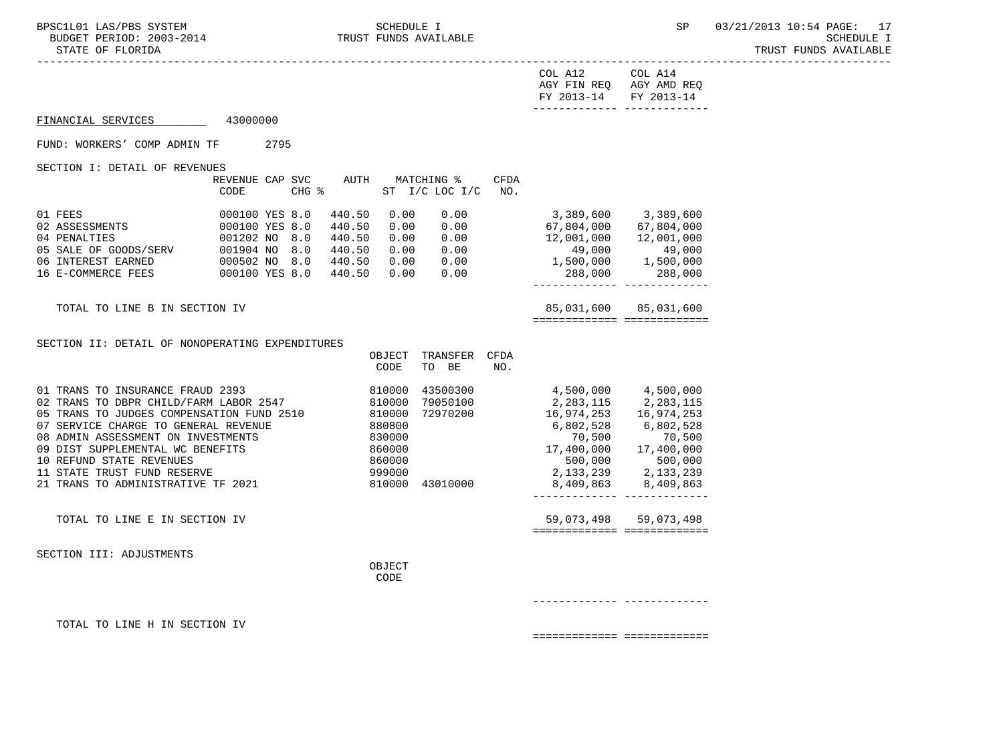-----------------------------------------------------------------------------------------------------------------------------------

|                                                                                                                                                                                                                                                                                                                                                                           |                                 |                                                    |                                         |                 | COL A12<br>AGY FIN REQ AGY AMD REQ<br>FY 2013-14                                                                                                                                                                                                                                      | COL A14<br>FY 2013-14 |
|---------------------------------------------------------------------------------------------------------------------------------------------------------------------------------------------------------------------------------------------------------------------------------------------------------------------------------------------------------------------------|---------------------------------|----------------------------------------------------|-----------------------------------------|-----------------|---------------------------------------------------------------------------------------------------------------------------------------------------------------------------------------------------------------------------------------------------------------------------------------|-----------------------|
| FINANCIAL SERVICES 43000000                                                                                                                                                                                                                                                                                                                                               |                                 |                                                    |                                         |                 |                                                                                                                                                                                                                                                                                       |                       |
| FUND: WORKERS' COMP ADMIN TF 2795                                                                                                                                                                                                                                                                                                                                         |                                 |                                                    |                                         |                 |                                                                                                                                                                                                                                                                                       |                       |
| SECTION I: DETAIL OF REVENUES                                                                                                                                                                                                                                                                                                                                             | REVENUE CAP SVC AUTH MATCHING % |                                                    |                                         | CFDA            |                                                                                                                                                                                                                                                                                       |                       |
|                                                                                                                                                                                                                                                                                                                                                                           | CODE                            | CHG %                                              | ST I/C LOC I/C                          | NO <sub>z</sub> |                                                                                                                                                                                                                                                                                       |                       |
| 01 FEES 02 ASSESSMENTS 000100 YES 8.0<br>02 ASSESSMENTS 000100 YES 8.0<br>04 PENALTIES 001202 NO 8.0<br>04 FERENCIAL COODS/SERV 001904 NO 8.0 440.50 0.00 0.00<br>06 INTEREST EARNED 000502 NO 8.0 440.50 0.00 0.00<br>16 E-COMMERCE FEES 000100 YES 8.0 440.50 0.00 0.00                                                                                                 |                                 | 0.00<br>440.50<br>440.50<br>0.00<br>440.50<br>0.00 |                                         | 0.00            | 3,389,600 3,389,600                                                                                                                                                                                                                                                                   |                       |
| TOTAL TO LINE B IN SECTION IV                                                                                                                                                                                                                                                                                                                                             |                                 |                                                    |                                         |                 | ============================                                                                                                                                                                                                                                                          | 85,031,600 85,031,600 |
| SECTION II: DETAIL OF NONOPERATING EXPENDITURES                                                                                                                                                                                                                                                                                                                           |                                 | OBJECT<br>CODE                                     | TRANSFER CFDA<br>TO BE                  | NO.             |                                                                                                                                                                                                                                                                                       |                       |
| 01 TRANS TO INSURANCE FRAUD 2393 810000<br>02 TRANS TO DBPR CHILD/FARM LABOR 2547 810000<br>02 TRANS TO DBPR CHILD/FARM MIDDL: 2510 810000<br>05 TRANS TO JUDGES COMPENSATION FUND 2510 880800<br>08 ADMIN ASSESSMENT ON INVESTMENTS<br>09 DIST SUPPLEMENTAL WC BENEFITS<br>10 REFUND STATE REVENUES<br>11 STATE TRUST FUND RESERVE<br>21 TRANS TO ADMINISTRATIVE TF 2021 |                                 | 830000<br>860000<br>860000<br>999000               | 79050100<br>72970200<br>810000 43010000 |                 | 43500300 4,500,000 4,500,000<br>2, 283, 115<br>16, 974, 253<br>6, 802, 528<br>6, 802, 528<br>6, 802, 528<br>$\begin{array}{cccc} & 70\,,500 & & 70\,,500\ 17\,,400\,,000 & & 17\,,400\,,000\ 500\,,000 & & & 500\,,000 \end{array}$<br>2, 133, 239 2, 133, 239<br>8,409,863 8,409,863 |                       |
| TOTAL TO LINE E IN SECTION IV                                                                                                                                                                                                                                                                                                                                             |                                 |                                                    |                                         |                 | ============================                                                                                                                                                                                                                                                          | 59,073,498 59,073,498 |
| SECTION III: ADJUSTMENTS                                                                                                                                                                                                                                                                                                                                                  |                                 | OBJECT<br>CODE                                     |                                         |                 |                                                                                                                                                                                                                                                                                       |                       |

------------- -------------

TOTAL TO LINE H IN SECTION IV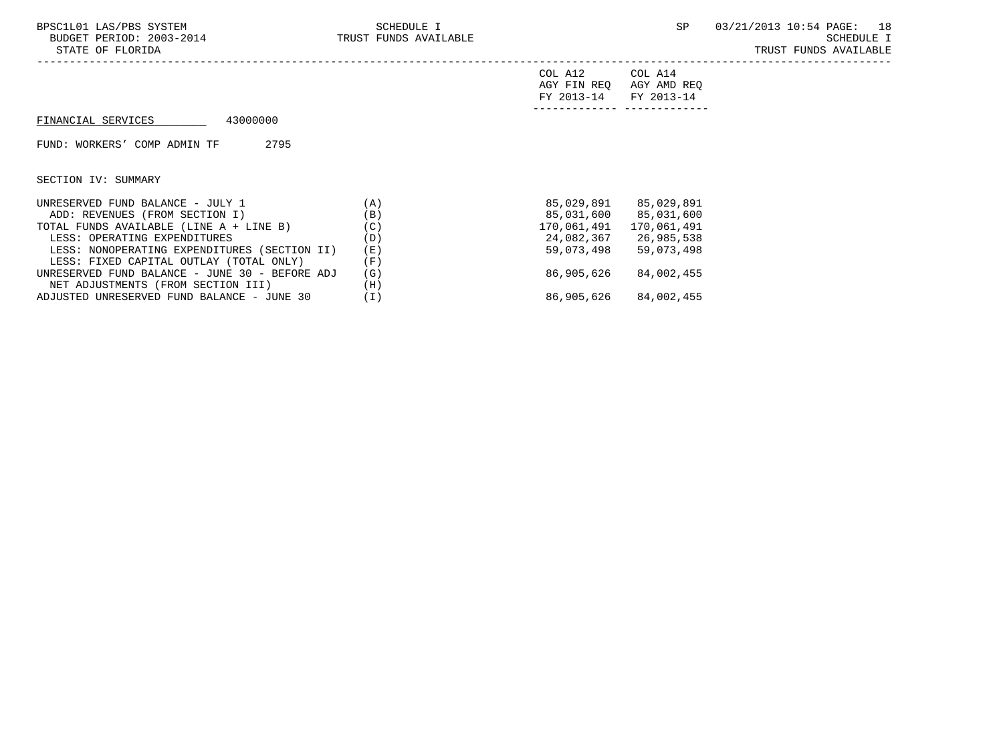| FY 2013-14 FY 2013-14 |                         |
|-----------------------|-------------------------|
|                       | AGY FIN REQ AGY AMD REQ |
| COL A12               | COL A14                 |

## FINANCIAL SERVICES 43000000

FUND: WORKERS' COMP ADMIN TF 2795

SECTION IV: SUMMARY

| UNRESERVED FUND BALANCE - JULY 1               | 'A) | 85,029,891  | 85,029,891  |
|------------------------------------------------|-----|-------------|-------------|
| ADD: REVENUES (FROM SECTION I)                 | (B) | 85,031,600  | 85,031,600  |
| TOTAL FUNDS AVAILABLE (LINE A + LINE B)        | (C) | 170,061,491 | 170,061,491 |
| LESS: OPERATING EXPENDITURES                   | (D) | 24,082,367  | 26,985,538  |
| LESS: NONOPERATING EXPENDITURES (SECTION II)   | (E) | 59,073,498  | 59,073,498  |
| LESS: FIXED CAPITAL OUTLAY (TOTAL ONLY)        | (F) |             |             |
| UNRESERVED FUND BALANCE - JUNE 30 - BEFORE ADJ | (G) | 86,905,626  | 84,002,455  |
| NET ADJUSTMENTS (FROM SECTION III)             | (H) |             |             |
| ADJUSTED UNRESERVED FUND BALANCE - JUNE 30     | ΊI) | 86,905,626  | 84,002,455  |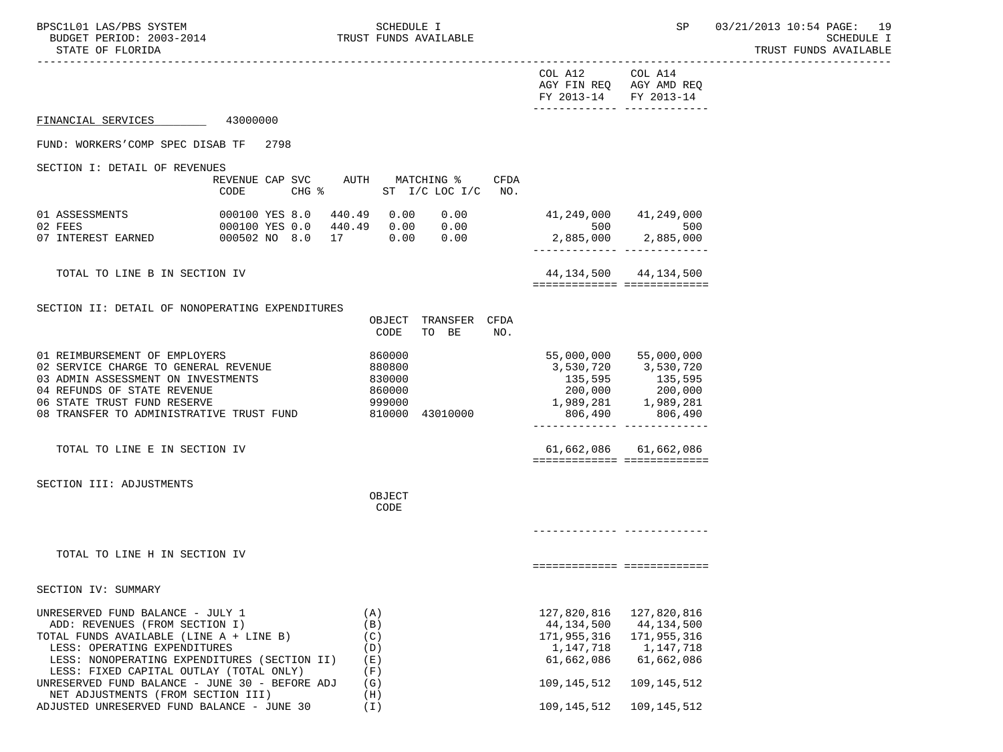-----------------------------------------------------------------------------------------------------------------------------------

|                                                                                           |                                            |                 |                        |             | COL A12<br>AGY FIN REQ AGY AMD REQ<br>FY 2013-14 | COL A14<br>FY 2013-14      |
|-------------------------------------------------------------------------------------------|--------------------------------------------|-----------------|------------------------|-------------|--------------------------------------------------|----------------------------|
| FINANCIAL SERVICES                                                                        | 43000000                                   |                 |                        |             |                                                  |                            |
| FUND: WORKERS'COMP SPEC DISAB TF 2798                                                     |                                            |                 |                        |             |                                                  |                            |
| SECTION I: DETAIL OF REVENUES                                                             |                                            |                 |                        |             |                                                  |                            |
|                                                                                           | REVENUE CAP SVC<br>$CHG$ $\approx$<br>CODE | AUTH MATCHING % | ST I/C LOC I/C         | CFDA<br>NO. |                                                  |                            |
| 01 ASSESSMENTS                                                                            | 000100 YES 8.0<br>440.49                   | 0.00            | 0.00                   |             | 41,249,000 41,249,000                            |                            |
| 02 FEES<br>07 INTEREST EARNED                                                             | 000100 YES 0.0<br>000502 NO 8.0            |                 |                        |             | 500                                              | 500<br>2,885,000 2,885,000 |
| TOTAL TO LINE B IN SECTION IV                                                             |                                            |                 |                        |             | ===========================                      | 44, 134, 500 44, 134, 500  |
|                                                                                           |                                            |                 |                        |             |                                                  |                            |
| SECTION II: DETAIL OF NONOPERATING EXPENDITURES                                           |                                            | OBJECT<br>CODE  | TRANSFER CFDA<br>TO BE | NO.         |                                                  |                            |
| 01 REIMBURSEMENT OF EMPLOYERS                                                             |                                            | 860000          |                        |             |                                                  | 55,000,000 55,000,000      |
| 02 SERVICE CHARGE TO GENERAL REVENUE                                                      |                                            | 880800          |                        |             |                                                  | 3,530,720 3,530,720        |
| 03 ADMIN ASSESSMENT ON INVESTMENTS                                                        |                                            | 830000          |                        |             |                                                  |                            |
| 04 REFUNDS OF STATE REVENUE                                                               |                                            | 860000          |                        |             |                                                  |                            |
| 06 STATE TRUST FUND RESERVE                                                               |                                            | 999000          |                        |             |                                                  | 1,989,281 1,989,281        |
| 08 TRANSFER TO ADMINISTRATIVE TRUST FUND                                                  |                                            |                 | 810000 43010000        |             |                                                  | 806,490 806,490            |
| TOTAL TO LINE E IN SECTION IV                                                             |                                            |                 |                        |             | ===========================                      | 61,662,086 61,662,086      |
|                                                                                           |                                            |                 |                        |             |                                                  |                            |
| SECTION III: ADJUSTMENTS                                                                  |                                            | OBJECT          |                        |             |                                                  |                            |
|                                                                                           |                                            | <b>CODE</b>     |                        |             |                                                  |                            |
|                                                                                           |                                            |                 |                        |             |                                                  |                            |
| TOTAL TO LINE H IN SECTION IV                                                             |                                            |                 |                        |             |                                                  |                            |
|                                                                                           |                                            |                 |                        |             | ============================                     |                            |
| SECTION IV: SUMMARY                                                                       |                                            |                 |                        |             |                                                  |                            |
| UNRESERVED FUND BALANCE - JULY 1                                                          |                                            | (A)             |                        |             | 127,820,816                                      | 127,820,816                |
| ADD: REVENUES (FROM SECTION I)                                                            |                                            | (B)             |                        |             | 44,134,500                                       | 44,134,500                 |
| TOTAL FUNDS AVAILABLE (LINE A + LINE B)                                                   |                                            | (C)             |                        |             | 171,955,316                                      | 171,955,316                |
| LESS: OPERATING EXPENDITURES                                                              |                                            | (D)             |                        |             | 1,147,718                                        | 1,147,718                  |
| LESS: NONOPERATING EXPENDITURES (SECTION II)                                              |                                            | (E)             |                        |             | 61,662,086                                       | 61,662,086                 |
| LESS: FIXED CAPITAL OUTLAY (TOTAL ONLY)<br>UNRESERVED FUND BALANCE - JUNE 30 - BEFORE ADJ |                                            | (F)<br>(G)      |                        |             | 109, 145, 512                                    | 109, 145, 512              |
| NET ADJUSTMENTS (FROM SECTION III)                                                        |                                            | (H)             |                        |             |                                                  |                            |
| ADJUSTED UNRESERVED FUND BALANCE - JUNE 30                                                |                                            | (I)             |                        |             | 109, 145, 512                                    | 109,145,512                |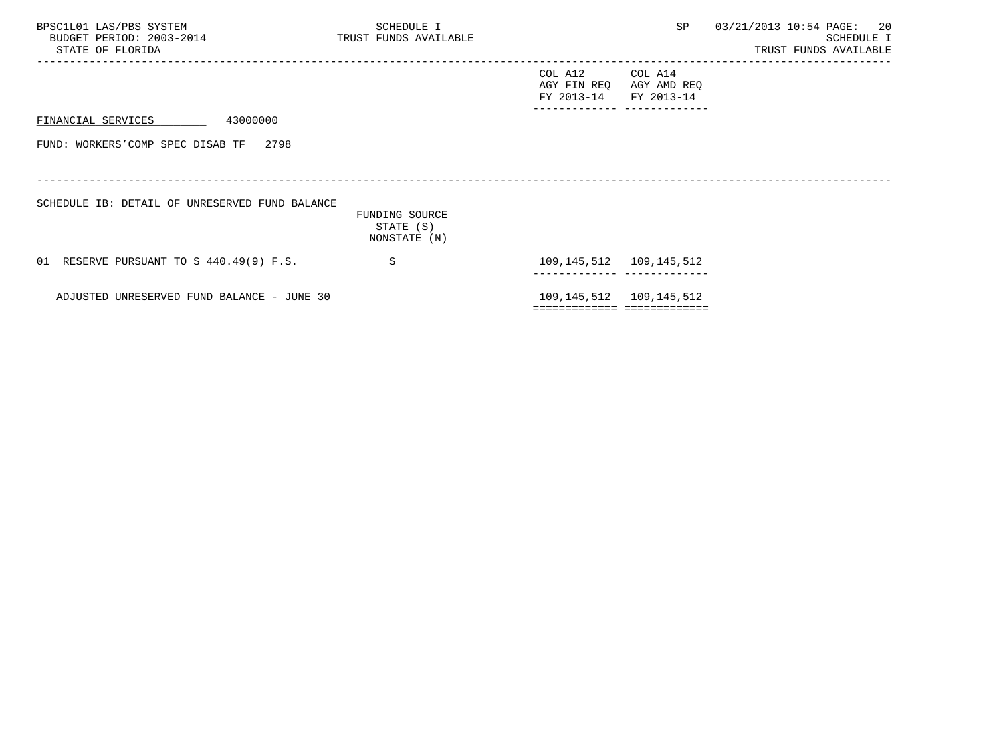| BPSC1L01 LAS/PBS SYSTEM<br>BUDGET PERIOD: 2003-2014<br>STATE OF FLORIDA | SCHEDULE I<br>TRUST FUNDS AVAILABLE         |                                              | SP                        | 03/21/2013 10:54 PAGE: 20<br>SCHEDULE I<br>TRUST FUNDS AVAILABLE |
|-------------------------------------------------------------------------|---------------------------------------------|----------------------------------------------|---------------------------|------------------------------------------------------------------|
|                                                                         |                                             | COL A12 COL A14<br>AGY FIN REQ<br>FY 2013-14 | AGY AMD REQ<br>FY 2013-14 |                                                                  |
| 43000000<br>FINANCIAL SERVICES                                          |                                             |                                              |                           |                                                                  |
| FUND: WORKERS'COMP SPEC DISAB TF 2798                                   |                                             |                                              |                           |                                                                  |
|                                                                         |                                             |                                              |                           |                                                                  |
| SCHEDULE IB: DETAIL OF UNRESERVED FUND BALANCE                          |                                             |                                              |                           |                                                                  |
|                                                                         | FUNDING SOURCE<br>STATE (S)<br>NONSTATE (N) |                                              |                           |                                                                  |
| 01 RESERVE PURSUANT TO S 440.49(9) F.S.                                 | S                                           | 109, 145, 512 109, 145, 512                  |                           |                                                                  |
| ADJUSTED UNRESERVED FUND BALANCE - JUNE 30                              |                                             | 109, 145, 512 109, 145, 512                  |                           |                                                                  |
|                                                                         |                                             | ============================                 |                           |                                                                  |